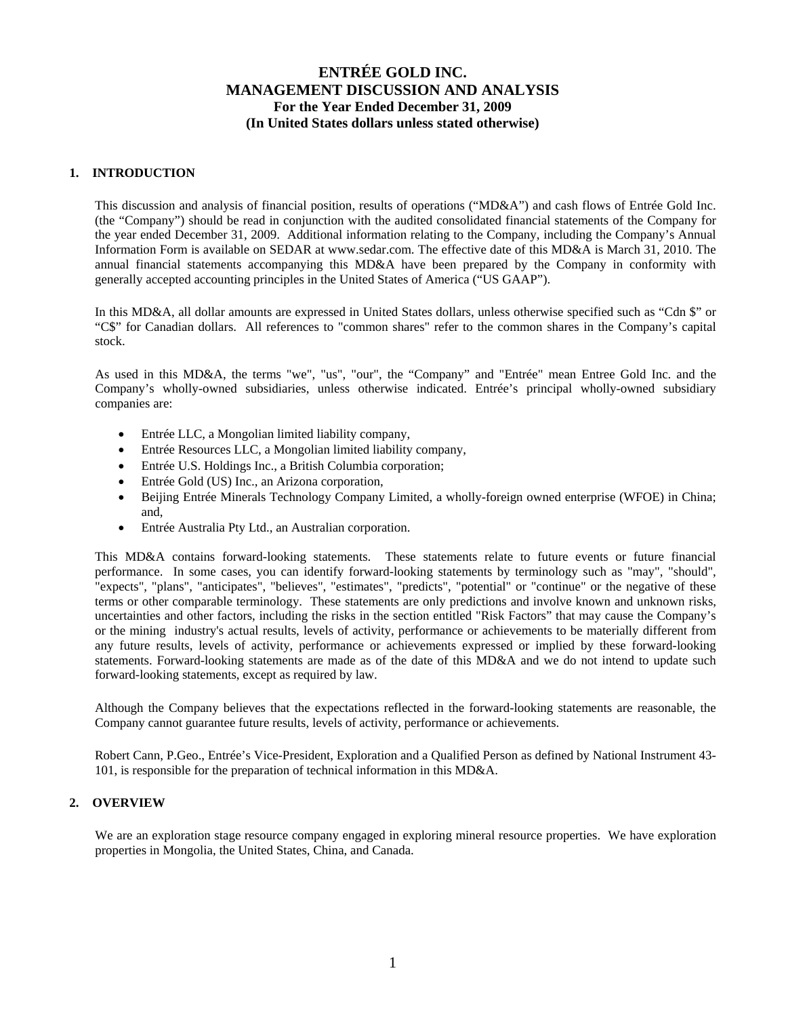## **1. INTRODUCTION**

This discussion and analysis of financial position, results of operations ("MD&A") and cash flows of Entrée Gold Inc. (the "Company") should be read in conjunction with the audited consolidated financial statements of the Company for the year ended December 31, 2009. Additional information relating to the Company, including the Company's Annual Information Form is available on SEDAR at www.sedar.com. The effective date of this MD&A is March 31, 2010. The annual financial statements accompanying this MD&A have been prepared by the Company in conformity with generally accepted accounting principles in the United States of America ("US GAAP").

In this MD&A, all dollar amounts are expressed in United States dollars, unless otherwise specified such as "Cdn \$" or "C\$" for Canadian dollars. All references to "common shares" refer to the common shares in the Company's capital stock.

As used in this MD&A, the terms "we", "us", "our", the "Company" and "Entrée" mean Entree Gold Inc. and the Company's wholly-owned subsidiaries, unless otherwise indicated. Entrée's principal wholly-owned subsidiary companies are:

- Entrée LLC, a Mongolian limited liability company,
- Entrée Resources LLC, a Mongolian limited liability company,
- Entrée U.S. Holdings Inc., a British Columbia corporation;
- Entrée Gold (US) Inc., an Arizona corporation,
- Beijing Entrée Minerals Technology Company Limited, a wholly-foreign owned enterprise (WFOE) in China; and,
- Entrée Australia Pty Ltd., an Australian corporation.

This MD&A contains forward-looking statements. These statements relate to future events or future financial performance. In some cases, you can identify forward-looking statements by terminology such as "may", "should", "expects", "plans", "anticipates", "believes", "estimates", "predicts", "potential" or "continue" or the negative of these terms or other comparable terminology. These statements are only predictions and involve known and unknown risks, uncertainties and other factors, including the risks in the section entitled "Risk Factors" that may cause the Company's or the mining industry's actual results, levels of activity, performance or achievements to be materially different from any future results, levels of activity, performance or achievements expressed or implied by these forward-looking statements. Forward-looking statements are made as of the date of this MD&A and we do not intend to update such forward-looking statements, except as required by law.

Although the Company believes that the expectations reflected in the forward-looking statements are reasonable, the Company cannot guarantee future results, levels of activity, performance or achievements.

Robert Cann, P.Geo., Entrée's Vice-President, Exploration and a Qualified Person as defined by National Instrument 43- 101, is responsible for the preparation of technical information in this MD&A.

## **2. OVERVIEW**

We are an exploration stage resource company engaged in exploring mineral resource properties. We have exploration properties in Mongolia, the United States, China, and Canada.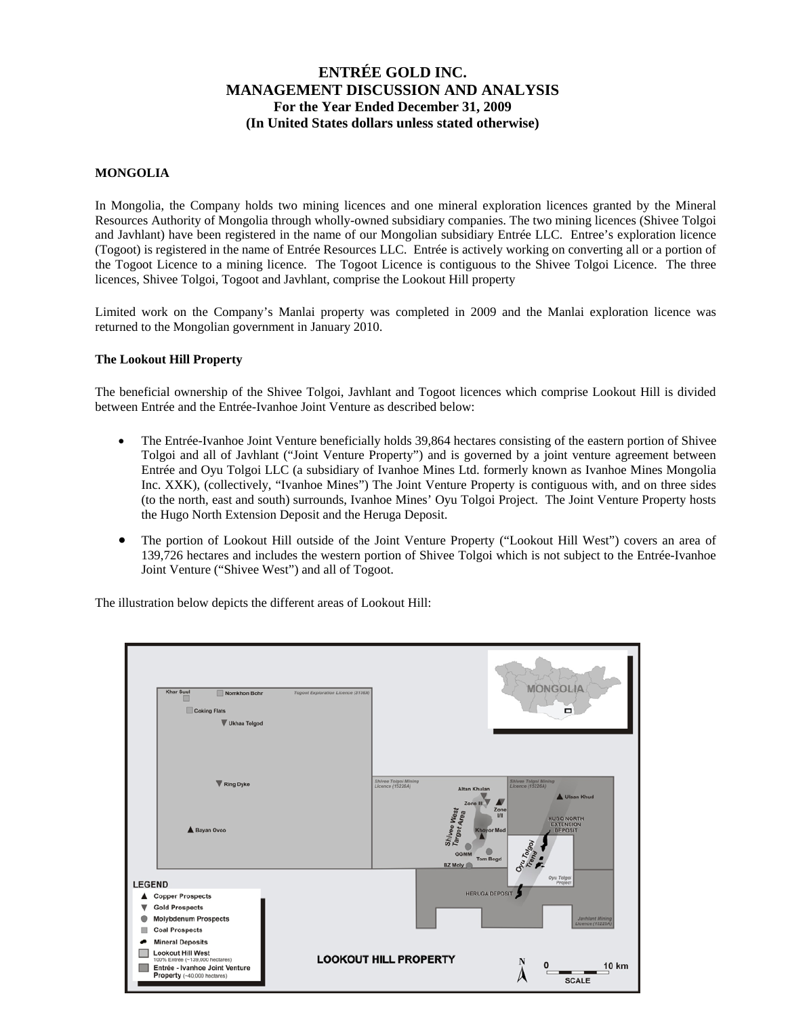### **MONGOLIA**

In Mongolia, the Company holds two mining licences and one mineral exploration licences granted by the Mineral Resources Authority of Mongolia through wholly-owned subsidiary companies. The two mining licences (Shivee Tolgoi and Javhlant) have been registered in the name of our Mongolian subsidiary Entrée LLC. Entree's exploration licence (Togoot) is registered in the name of Entrée Resources LLC. Entrée is actively working on converting all or a portion of the Togoot Licence to a mining licence. The Togoot Licence is contiguous to the Shivee Tolgoi Licence. The three licences, Shivee Tolgoi, Togoot and Javhlant, comprise the Lookout Hill property

Limited work on the Company's Manlai property was completed in 2009 and the Manlai exploration licence was returned to the Mongolian government in January 2010.

#### **The Lookout Hill Property**

The beneficial ownership of the Shivee Tolgoi, Javhlant and Togoot licences which comprise Lookout Hill is divided between Entrée and the Entrée-Ivanhoe Joint Venture as described below:

- The Entrée-Ivanhoe Joint Venture beneficially holds 39,864 hectares consisting of the eastern portion of Shivee Tolgoi and all of Javhlant ("Joint Venture Property") and is governed by a joint venture agreement between Entrée and Oyu Tolgoi LLC (a subsidiary of Ivanhoe Mines Ltd. formerly known as Ivanhoe Mines Mongolia Inc. XXK), (collectively, "Ivanhoe Mines") The Joint Venture Property is contiguous with, and on three sides (to the north, east and south) surrounds, Ivanhoe Mines' Oyu Tolgoi Project. The Joint Venture Property hosts the Hugo North Extension Deposit and the Heruga Deposit.
- The portion of Lookout Hill outside of the Joint Venture Property ("Lookout Hill West") covers an area of 139,726 hectares and includes the western portion of Shivee Tolgoi which is not subject to the Entrée-Ivanhoe Joint Venture ("Shivee West") and all of Togoot.

The illustration below depicts the different areas of Lookout Hill:

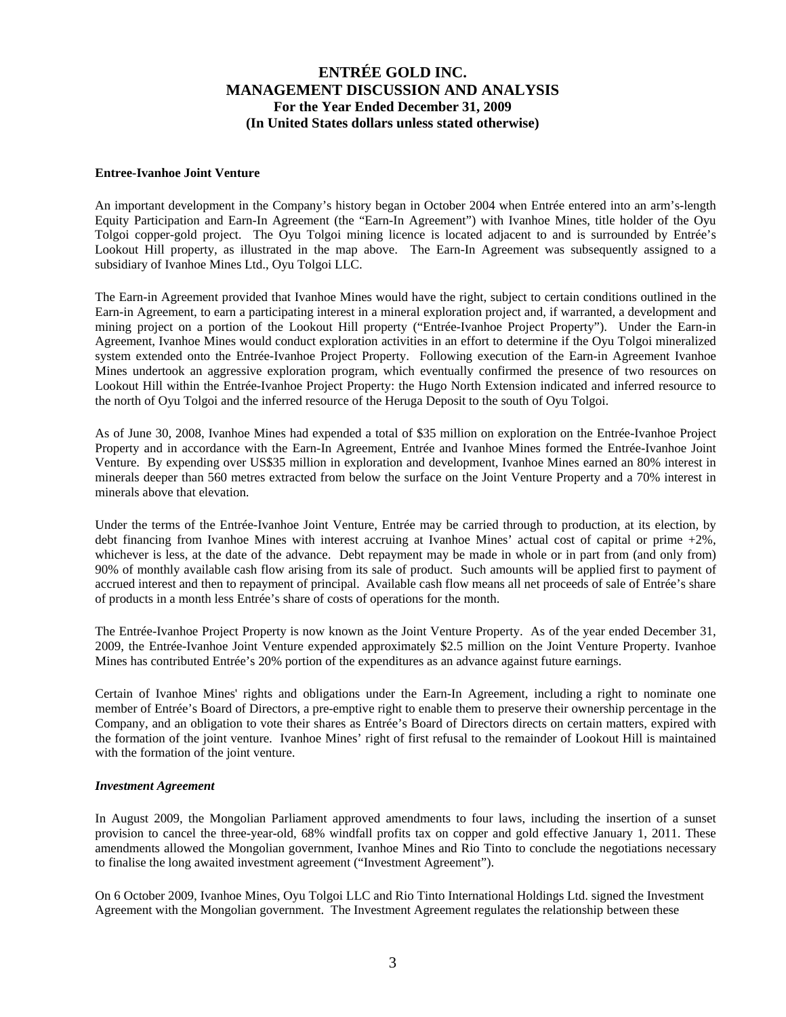#### **Entree-Ivanhoe Joint Venture**

An important development in the Company's history began in October 2004 when Entrée entered into an arm's-length Equity Participation and Earn-In Agreement (the "Earn-In Agreement") with Ivanhoe Mines, title holder of the Oyu Tolgoi copper-gold project. The Oyu Tolgoi mining licence is located adjacent to and is surrounded by Entrée's Lookout Hill property, as illustrated in the map above. The Earn-In Agreement was subsequently assigned to a subsidiary of Ivanhoe Mines Ltd., Oyu Tolgoi LLC.

The Earn-in Agreement provided that Ivanhoe Mines would have the right, subject to certain conditions outlined in the Earn-in Agreement, to earn a participating interest in a mineral exploration project and, if warranted, a development and mining project on a portion of the Lookout Hill property ("Entrée-Ivanhoe Project Property"). Under the Earn-in Agreement, Ivanhoe Mines would conduct exploration activities in an effort to determine if the Oyu Tolgoi mineralized system extended onto the Entrée-Ivanhoe Project Property. Following execution of the Earn-in Agreement Ivanhoe Mines undertook an aggressive exploration program, which eventually confirmed the presence of two resources on Lookout Hill within the Entrée-Ivanhoe Project Property: the Hugo North Extension indicated and inferred resource to the north of Oyu Tolgoi and the inferred resource of the Heruga Deposit to the south of Oyu Tolgoi.

As of June 30, 2008, Ivanhoe Mines had expended a total of \$35 million on exploration on the Entrée-Ivanhoe Project Property and in accordance with the Earn-In Agreement, Entrée and Ivanhoe Mines formed the Entrée-Ivanhoe Joint Venture. By expending over US\$35 million in exploration and development, Ivanhoe Mines earned an 80% interest in minerals deeper than 560 metres extracted from below the surface on the Joint Venture Property and a 70% interest in minerals above that elevation.

Under the terms of the Entrée-Ivanhoe Joint Venture, Entrée may be carried through to production, at its election, by debt financing from Ivanhoe Mines with interest accruing at Ivanhoe Mines' actual cost of capital or prime +2%, whichever is less, at the date of the advance. Debt repayment may be made in whole or in part from (and only from) 90% of monthly available cash flow arising from its sale of product. Such amounts will be applied first to payment of accrued interest and then to repayment of principal. Available cash flow means all net proceeds of sale of Entrée's share of products in a month less Entrée's share of costs of operations for the month.

The Entrée-Ivanhoe Project Property is now known as the Joint Venture Property. As of the year ended December 31, 2009, the Entrée-Ivanhoe Joint Venture expended approximately \$2.5 million on the Joint Venture Property. Ivanhoe Mines has contributed Entrée's 20% portion of the expenditures as an advance against future earnings.

Certain of Ivanhoe Mines' rights and obligations under the Earn-In Agreement, including a right to nominate one member of Entrée's Board of Directors, a pre-emptive right to enable them to preserve their ownership percentage in the Company, and an obligation to vote their shares as Entrée's Board of Directors directs on certain matters, expired with the formation of the joint venture. Ivanhoe Mines' right of first refusal to the remainder of Lookout Hill is maintained with the formation of the joint venture.

#### *Investment Agreement*

In August 2009, the Mongolian Parliament approved amendments to four laws, including the insertion of a sunset provision to cancel the three-year-old, 68% windfall profits tax on copper and gold effective January 1, 2011. These amendments allowed the Mongolian government, Ivanhoe Mines and Rio Tinto to conclude the negotiations necessary to finalise the long awaited investment agreement ("Investment Agreement").

On 6 October 2009, Ivanhoe Mines, Oyu Tolgoi LLC and Rio Tinto International Holdings Ltd. signed the Investment Agreement with the Mongolian government. The Investment Agreement regulates the relationship between these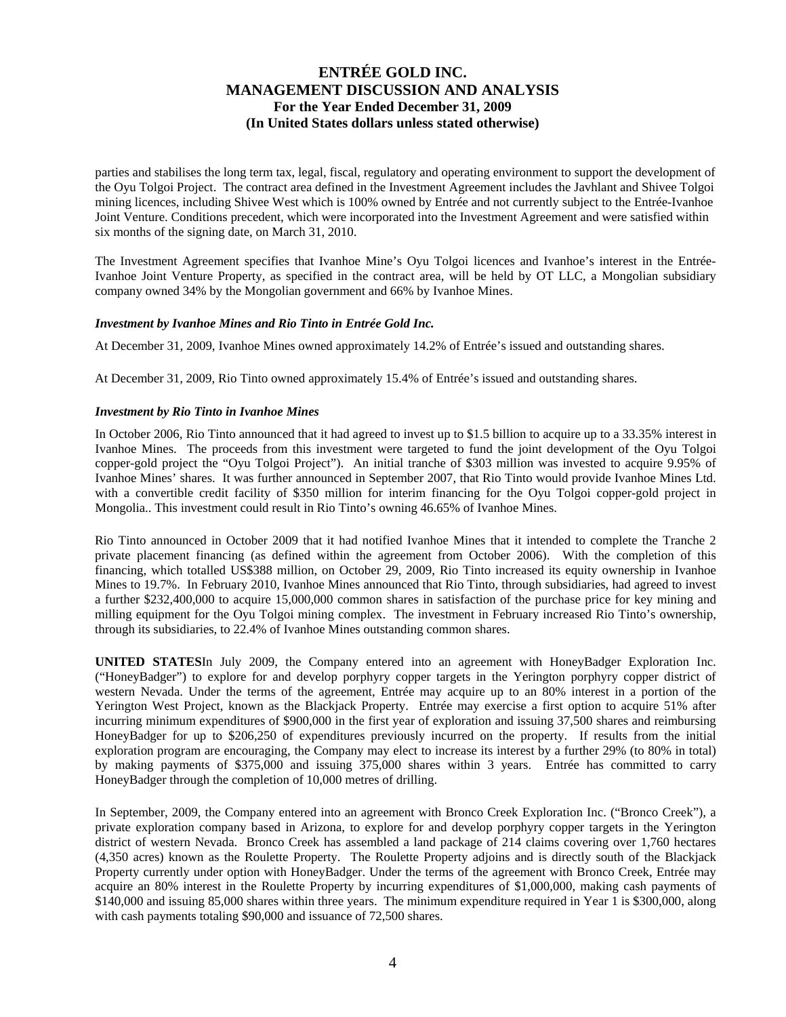parties and stabilises the long term tax, legal, fiscal, regulatory and operating environment to support the development of the Oyu Tolgoi Project. The contract area defined in the Investment Agreement includes the Javhlant and Shivee Tolgoi mining licences, including Shivee West which is 100% owned by Entrée and not currently subject to the Entrée-Ivanhoe Joint Venture. Conditions precedent, which were incorporated into the Investment Agreement and were satisfied within six months of the signing date, on March 31, 2010.

The Investment Agreement specifies that Ivanhoe Mine's Oyu Tolgoi licences and Ivanhoe's interest in the Entrée-Ivanhoe Joint Venture Property, as specified in the contract area, will be held by OT LLC, a Mongolian subsidiary company owned 34% by the Mongolian government and 66% by Ivanhoe Mines.

#### *Investment by Ivanhoe Mines and Rio Tinto in Entrée Gold Inc.*

At December 31, 2009, Ivanhoe Mines owned approximately 14.2% of Entrée's issued and outstanding shares.

At December 31, 2009, Rio Tinto owned approximately 15.4% of Entrée's issued and outstanding shares.

### *Investment by Rio Tinto in Ivanhoe Mines*

In October 2006, Rio Tinto announced that it had agreed to invest up to \$1.5 billion to acquire up to a 33.35% interest in Ivanhoe Mines. The proceeds from this investment were targeted to fund the joint development of the Oyu Tolgoi copper-gold project the "Oyu Tolgoi Project"). An initial tranche of \$303 million was invested to acquire 9.95% of Ivanhoe Mines' shares. It was further announced in September 2007, that Rio Tinto would provide Ivanhoe Mines Ltd. with a convertible credit facility of \$350 million for interim financing for the Oyu Tolgoi copper-gold project in Mongolia.. This investment could result in Rio Tinto's owning 46.65% of Ivanhoe Mines.

Rio Tinto announced in October 2009 that it had notified Ivanhoe Mines that it intended to complete the Tranche 2 private placement financing (as defined within the agreement from October 2006). With the completion of this financing, which totalled US\$388 million, on October 29, 2009, Rio Tinto increased its equity ownership in Ivanhoe Mines to 19.7%. In February 2010, Ivanhoe Mines announced that Rio Tinto, through subsidiaries, had agreed to invest a further \$232,400,000 to acquire 15,000,000 common shares in satisfaction of the purchase price for key mining and milling equipment for the Oyu Tolgoi mining complex. The investment in February increased Rio Tinto's ownership, through its subsidiaries, to 22.4% of Ivanhoe Mines outstanding common shares.

**UNITED STATES**In July 2009, the Company entered into an agreement with HoneyBadger Exploration Inc. ("HoneyBadger") to explore for and develop porphyry copper targets in the Yerington porphyry copper district of western Nevada. Under the terms of the agreement, Entrée may acquire up to an 80% interest in a portion of the Yerington West Project, known as the Blackjack Property. Entrée may exercise a first option to acquire 51% after incurring minimum expenditures of \$900,000 in the first year of exploration and issuing 37,500 shares and reimbursing HoneyBadger for up to \$206,250 of expenditures previously incurred on the property. If results from the initial exploration program are encouraging, the Company may elect to increase its interest by a further 29% (to 80% in total) by making payments of \$375,000 and issuing 375,000 shares within 3 years. Entrée has committed to carry HoneyBadger through the completion of 10,000 metres of drilling.

In September, 2009, the Company entered into an agreement with Bronco Creek Exploration Inc. ("Bronco Creek"), a private exploration company based in Arizona, to explore for and develop porphyry copper targets in the Yerington district of western Nevada. Bronco Creek has assembled a land package of 214 claims covering over 1,760 hectares (4,350 acres) known as the Roulette Property. The Roulette Property adjoins and is directly south of the Blackjack Property currently under option with HoneyBadger. Under the terms of the agreement with Bronco Creek, Entrée may acquire an 80% interest in the Roulette Property by incurring expenditures of \$1,000,000, making cash payments of \$140,000 and issuing 85,000 shares within three years. The minimum expenditure required in Year 1 is \$300,000, along with cash payments totaling \$90,000 and issuance of 72,500 shares.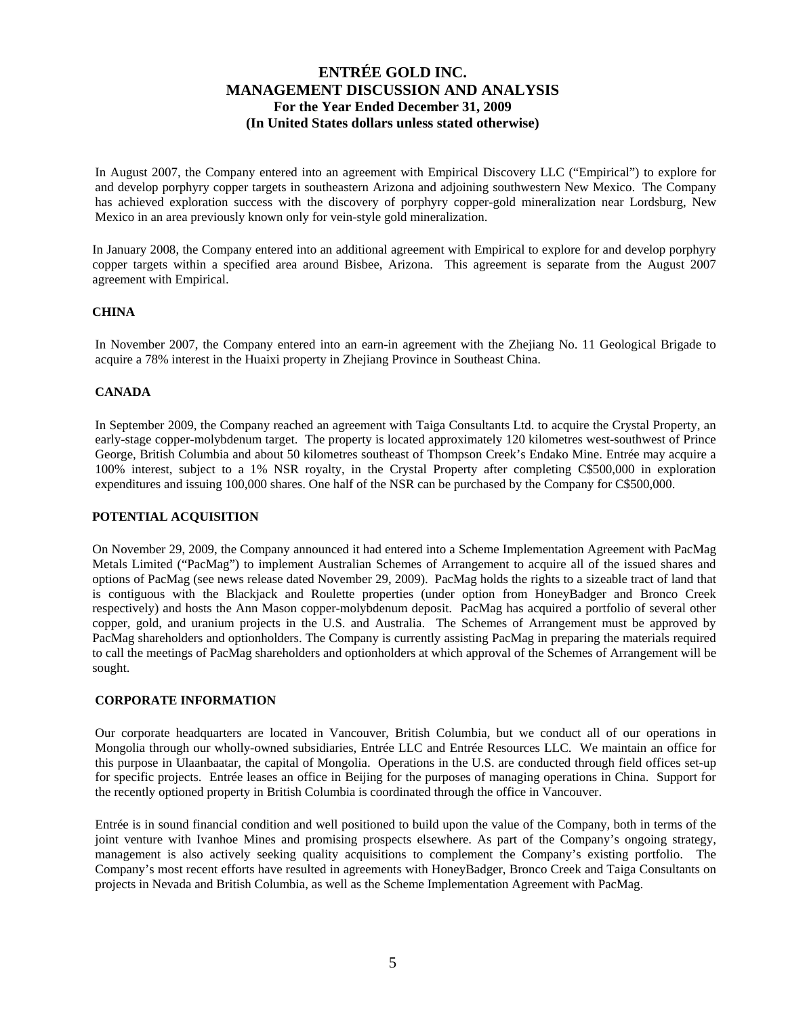In August 2007, the Company entered into an agreement with Empirical Discovery LLC ("Empirical") to explore for and develop porphyry copper targets in southeastern Arizona and adjoining southwestern New Mexico. The Company has achieved exploration success with the discovery of porphyry copper-gold mineralization near Lordsburg, New Mexico in an area previously known only for vein-style gold mineralization.

In January 2008, the Company entered into an additional agreement with Empirical to explore for and develop porphyry copper targets within a specified area around Bisbee, Arizona. This agreement is separate from the August 2007 agreement with Empirical.

## **CHINA**

In November 2007, the Company entered into an earn-in agreement with the Zhejiang No. 11 Geological Brigade to acquire a 78% interest in the Huaixi property in Zhejiang Province in Southeast China.

### **CANADA**

In September 2009, the Company reached an agreement with Taiga Consultants Ltd. to acquire the Crystal Property, an early-stage copper-molybdenum target. The property is located approximately 120 kilometres west-southwest of Prince George, British Columbia and about 50 kilometres southeast of Thompson Creek's Endako Mine. Entrée may acquire a 100% interest, subject to a 1% NSR royalty, in the Crystal Property after completing C\$500,000 in exploration expenditures and issuing 100,000 shares. One half of the NSR can be purchased by the Company for C\$500,000.

#### **POTENTIAL ACQUISITION**

On November 29, 2009, the Company announced it had entered into a Scheme Implementation Agreement with PacMag Metals Limited ("PacMag") to implement Australian Schemes of Arrangement to acquire all of the issued shares and options of PacMag (see news release dated November 29, 2009). PacMag holds the rights to a sizeable tract of land that is contiguous with the Blackjack and Roulette properties (under option from HoneyBadger and Bronco Creek respectively) and hosts the Ann Mason copper-molybdenum deposit. PacMag has acquired a portfolio of several other copper, gold, and uranium projects in the U.S. and Australia. The Schemes of Arrangement must be approved by PacMag shareholders and optionholders. The Company is currently assisting PacMag in preparing the materials required to call the meetings of PacMag shareholders and optionholders at which approval of the Schemes of Arrangement will be sought.

#### **CORPORATE INFORMATION**

Our corporate headquarters are located in Vancouver, British Columbia, but we conduct all of our operations in Mongolia through our wholly-owned subsidiaries, Entrée LLC and Entrée Resources LLC. We maintain an office for this purpose in Ulaanbaatar, the capital of Mongolia. Operations in the U.S. are conducted through field offices set-up for specific projects. Entrée leases an office in Beijing for the purposes of managing operations in China. Support for the recently optioned property in British Columbia is coordinated through the office in Vancouver.

Entrée is in sound financial condition and well positioned to build upon the value of the Company, both in terms of the joint venture with Ivanhoe Mines and promising prospects elsewhere. As part of the Company's ongoing strategy, management is also actively seeking quality acquisitions to complement the Company's existing portfolio. The Company's most recent efforts have resulted in agreements with HoneyBadger, Bronco Creek and Taiga Consultants on projects in Nevada and British Columbia, as well as the Scheme Implementation Agreement with PacMag.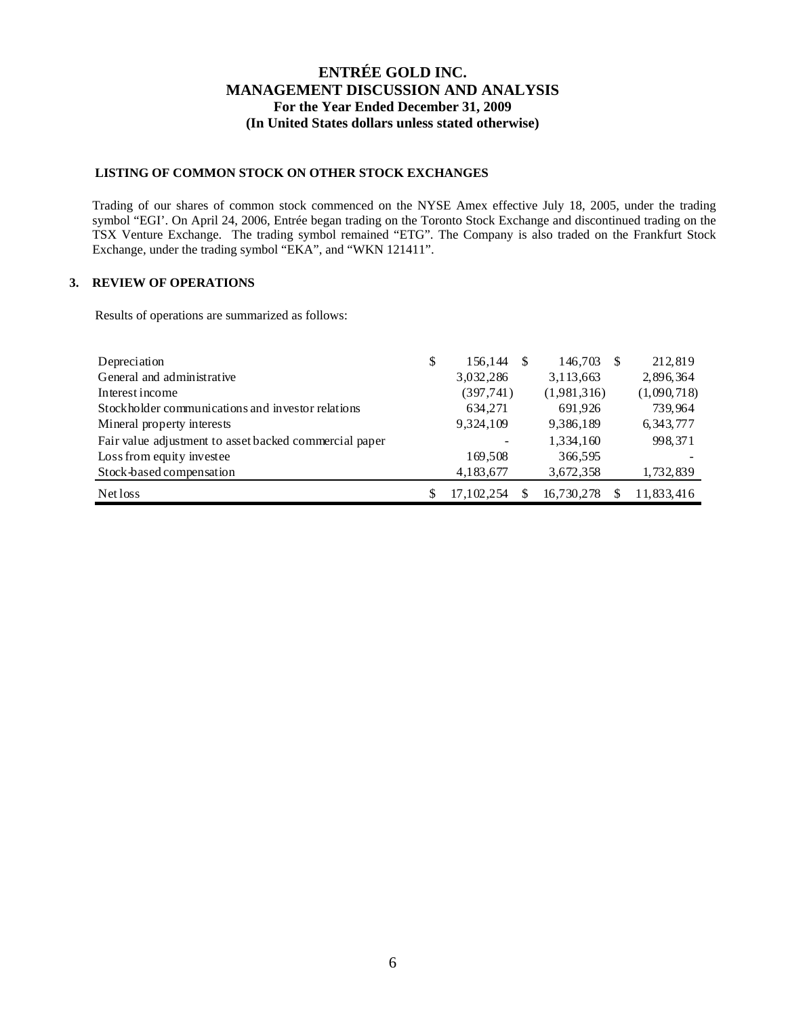## **LISTING OF COMMON STOCK ON OTHER STOCK EXCHANGES**

Trading of our shares of common stock commenced on the NYSE Amex effective July 18, 2005, under the trading symbol "EGI'. On April 24, 2006, Entrée began trading on the Toronto Stock Exchange and discontinued trading on the TSX Venture Exchange. The trading symbol remained "ETG". The Company is also traded on the Frankfurt Stock Exchange, under the trading symbol "EKA", and "WKN 121411".

## **3. REVIEW OF OPERATIONS**

Results of operations are summarized as follows:

| Depreciation                                           | \$<br>156,144 | 146,703     | 212,819     |
|--------------------------------------------------------|---------------|-------------|-------------|
| General and administrative                             | 3,032,286     | 3,113,663   | 2,896,364   |
| Interest income                                        | (397,741)     | (1,981,316) | (1,090,718) |
| Stockholder communications and investor relations      | 634,271       | 691,926     | 739,964     |
| Mineral property interests                             | 9,324,109     | 9,386,189   | 6, 343, 777 |
| Fair value adjustment to asset backed commercial paper |               | 1,334,160   | 998, 371    |
| Loss from equity investee                              | 169,508       | 366,595     |             |
| Stock-based compensation                               | 4,183,677     | 3,672,358   | 1,732,839   |
| Net loss                                               | 17, 102, 254  | 16,730,278  | 11,833,416  |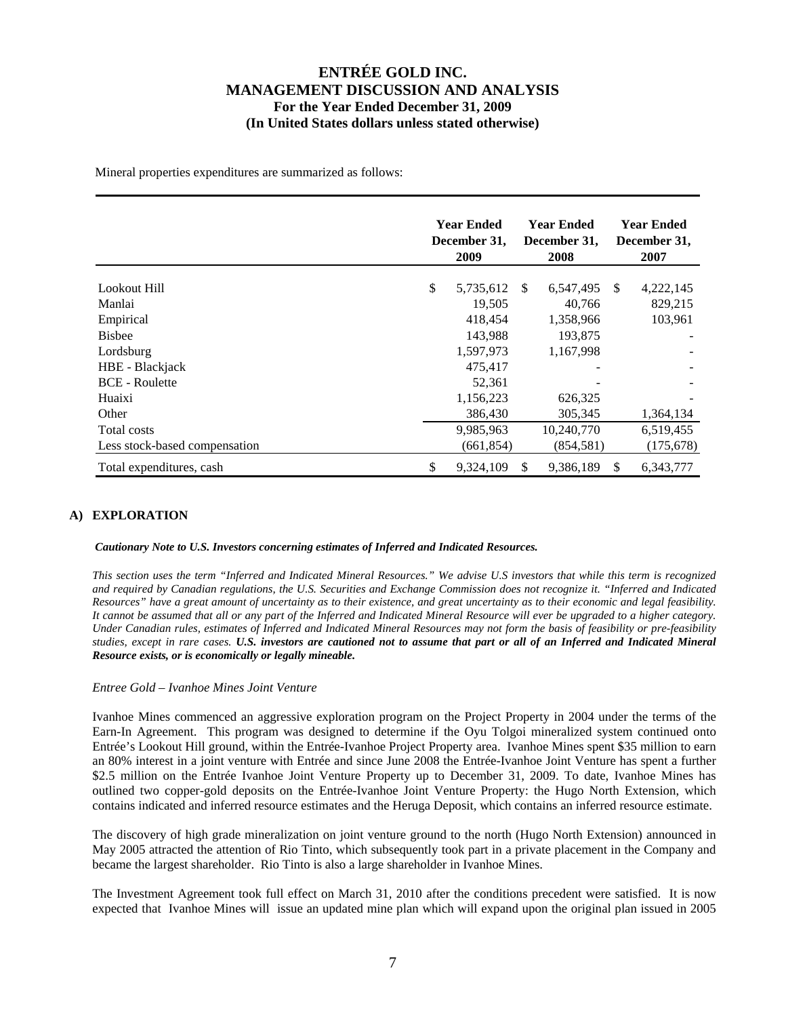Mineral properties expenditures are summarized as follows:

|                               | <b>Year Ended</b><br>December 31,<br>2009 |     | <b>Year Ended</b><br>December 31,<br>2008 |               | <b>Year Ended</b><br>December 31,<br>2007 |
|-------------------------------|-------------------------------------------|-----|-------------------------------------------|---------------|-------------------------------------------|
| Lookout Hill                  | \$<br>5,735,612                           | -S  | 6,547,495                                 | <sup>\$</sup> | 4,222,145                                 |
| Manlai                        | 19,505                                    |     | 40,766                                    |               | 829,215                                   |
| Empirical                     | 418,454                                   |     | 1,358,966                                 |               | 103,961                                   |
| <b>Bisbee</b>                 | 143,988                                   |     | 193,875                                   |               |                                           |
| Lordsburg                     | 1,597,973                                 |     | 1,167,998                                 |               |                                           |
| HBE - Blackjack               | 475,417                                   |     |                                           |               |                                           |
| <b>BCE</b> - Roulette         | 52,361                                    |     |                                           |               |                                           |
| Huaixi                        | 1,156,223                                 |     | 626,325                                   |               |                                           |
| Other                         | 386,430                                   |     | 305,345                                   |               | 1,364,134                                 |
| Total costs                   | 9,985,963                                 |     | 10,240,770                                |               | 6,519,455                                 |
| Less stock-based compensation | (661, 854)                                |     | (854, 581)                                |               | (175, 678)                                |
| Total expenditures, cash      | \$<br>9,324,109                           | \$. | 9,386,189                                 | <sup>\$</sup> | 6,343,777                                 |

## **A) EXPLORATION**

*Cautionary Note to U.S. Investors concerning estimates of Inferred and Indicated Resources.* 

*This section uses the term "Inferred and Indicated Mineral Resources." We advise U.S investors that while this term is recognized and required by Canadian regulations, the U.S. Securities and Exchange Commission does not recognize it. "Inferred and Indicated Resources" have a great amount of uncertainty as to their existence, and great uncertainty as to their economic and legal feasibility. It cannot be assumed that all or any part of the Inferred and Indicated Mineral Resource will ever be upgraded to a higher category. Under Canadian rules, estimates of Inferred and Indicated Mineral Resources may not form the basis of feasibility or pre-feasibility studies, except in rare cases. U.S. investors are cautioned not to assume that part or all of an Inferred and Indicated Mineral Resource exists, or is economically or legally mineable.*

#### *Entree Gold – Ivanhoe Mines Joint Venture*

Ivanhoe Mines commenced an aggressive exploration program on the Project Property in 2004 under the terms of the Earn-In Agreement. This program was designed to determine if the Oyu Tolgoi mineralized system continued onto Entrée's Lookout Hill ground, within the Entrée-Ivanhoe Project Property area. Ivanhoe Mines spent \$35 million to earn an 80% interest in a joint venture with Entrée and since June 2008 the Entrée-Ivanhoe Joint Venture has spent a further \$2.5 million on the Entrée Ivanhoe Joint Venture Property up to December 31, 2009. To date, Ivanhoe Mines has outlined two copper-gold deposits on the Entrée-Ivanhoe Joint Venture Property: the Hugo North Extension, which contains indicated and inferred resource estimates and the Heruga Deposit, which contains an inferred resource estimate.

The discovery of high grade mineralization on joint venture ground to the north (Hugo North Extension) announced in May 2005 attracted the attention of Rio Tinto, which subsequently took part in a private placement in the Company and became the largest shareholder. Rio Tinto is also a large shareholder in Ivanhoe Mines.

The Investment Agreement took full effect on March 31, 2010 after the conditions precedent were satisfied. It is now expected that Ivanhoe Mines will issue an updated mine plan which will expand upon the original plan issued in 2005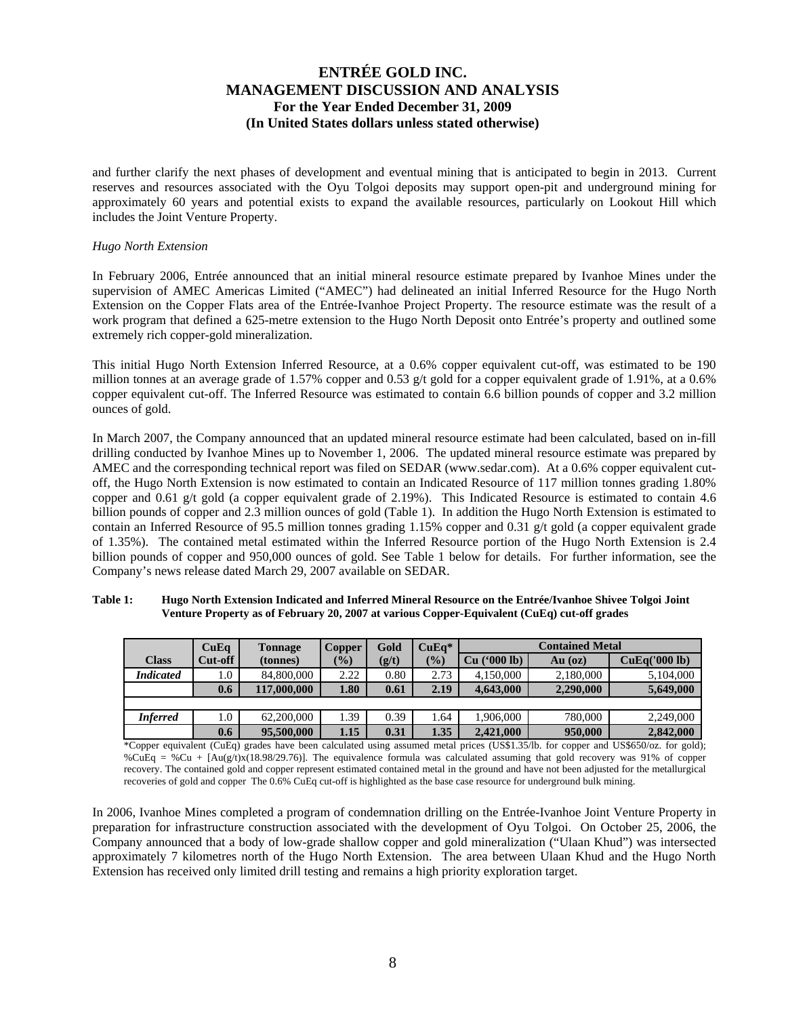and further clarify the next phases of development and eventual mining that is anticipated to begin in 2013. Current reserves and resources associated with the Oyu Tolgoi deposits may support open-pit and underground mining for approximately 60 years and potential exists to expand the available resources, particularly on Lookout Hill which includes the Joint Venture Property.

#### *Hugo North Extension*

In February 2006, Entrée announced that an initial mineral resource estimate prepared by Ivanhoe Mines under the supervision of AMEC Americas Limited ("AMEC") had delineated an initial Inferred Resource for the Hugo North Extension on the Copper Flats area of the Entrée-Ivanhoe Project Property. The resource estimate was the result of a work program that defined a 625-metre extension to the Hugo North Deposit onto Entrée's property and outlined some extremely rich copper-gold mineralization.

This initial Hugo North Extension Inferred Resource, at a 0.6% copper equivalent cut-off, was estimated to be 190 million tonnes at an average grade of 1.57% copper and 0.53 g/t gold for a copper equivalent grade of 1.91%, at a 0.6% copper equivalent cut-off. The Inferred Resource was estimated to contain 6.6 billion pounds of copper and 3.2 million ounces of gold.

In March 2007, the Company announced that an updated mineral resource estimate had been calculated, based on in-fill drilling conducted by Ivanhoe Mines up to November 1, 2006. The updated mineral resource estimate was prepared by AMEC and the corresponding technical report was filed on SEDAR (www.sedar.com). At a 0.6% copper equivalent cutoff, the Hugo North Extension is now estimated to contain an Indicated Resource of 117 million tonnes grading 1.80% copper and 0.61 g/t gold (a copper equivalent grade of 2.19%). This Indicated Resource is estimated to contain 4.6 billion pounds of copper and 2.3 million ounces of gold (Table 1). In addition the Hugo North Extension is estimated to contain an Inferred Resource of 95.5 million tonnes grading 1.15% copper and 0.31 g/t gold (a copper equivalent grade of 1.35%). The contained metal estimated within the Inferred Resource portion of the Hugo North Extension is 2.4 billion pounds of copper and 950,000 ounces of gold. See Table 1 below for details. For further information, see the Company's news release dated March 29, 2007 available on SEDAR.

| Table 1: | Hugo North Extension Indicated and Inferred Mineral Resource on the Entrée/Ivanhoe Shivee Tolgoi Joint |
|----------|--------------------------------------------------------------------------------------------------------|
|          | Venture Property as of February 20, 2007 at various Copper-Equivalent (CuEq) cut-off grades            |

|                  | CuEq    | <b>Tonnage</b> | <b>Copper</b> | Gold  | $CuEq*$       | <b>Contained Metal</b>   |           |               |  |  |
|------------------|---------|----------------|---------------|-------|---------------|--------------------------|-----------|---------------|--|--|
| <b>Class</b>     | Cut-off | (tonnes)       | $\frac{1}{2}$ | (g/t) | $\frac{1}{2}$ | $(900 \text{ lb})$<br>Cu | $Au$ (oz) | CuEq('000 lb) |  |  |
| <b>Indicated</b> | 0.1     | 84,800,000     | 2.22          | 0.80  | 2.73          | 4,150,000                | 2,180,000 | 5,104,000     |  |  |
|                  | 0.6     | 117,000,000    | 1.80          | 0.61  | 2.19          | 4,643,000                | 2,290,000 | 5,649,000     |  |  |
|                  |         |                |               |       |               |                          |           |               |  |  |
| <b>Inferred</b>  | 1.0     | 62,200,000     | .39           | 0.39  | 1.64          | 1,906,000                | 780,000   | 2,249,000     |  |  |
|                  | 0.6     | 95,500,000     | 1.15          | 0.31  | 1.35          | 2.421,000                | 950,000   | 2,842,000     |  |  |

\*Copper equivalent (CuEq) grades have been calculated using assumed metal prices (US\$1.35/lb. for copper and US\$650/oz. for gold); %CuEq = %Cu + [Au(g/t)x(18.98/29.76)]. The equivalence formula was calculated assuming that gold recovery was 91% of copper recovery. The contained gold and copper represent estimated contained metal in the ground and have not been adjusted for the metallurgical recoveries of gold and copper The 0.6% CuEq cut-off is highlighted as the base case resource for underground bulk mining.

In 2006, Ivanhoe Mines completed a program of condemnation drilling on the Entrée-Ivanhoe Joint Venture Property in preparation for infrastructure construction associated with the development of Oyu Tolgoi. On October 25, 2006, the Company announced that a body of low-grade shallow copper and gold mineralization ("Ulaan Khud") was intersected approximately 7 kilometres north of the Hugo North Extension. The area between Ulaan Khud and the Hugo North Extension has received only limited drill testing and remains a high priority exploration target.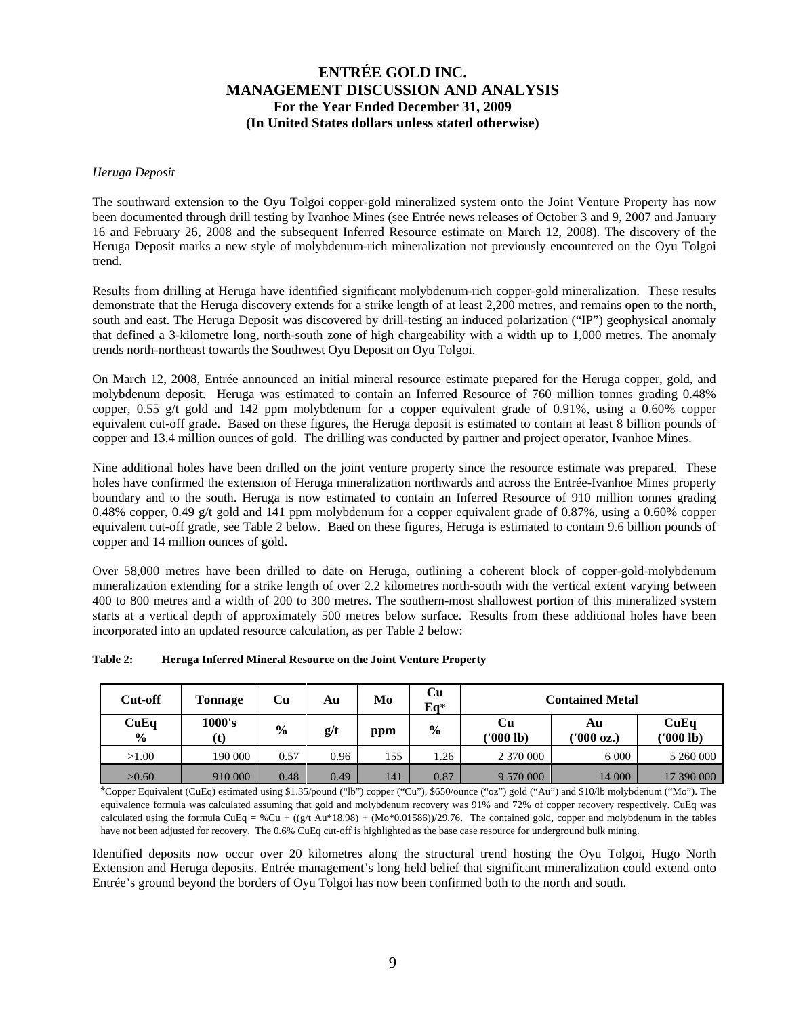### *Heruga Deposit*

The southward extension to the Oyu Tolgoi copper-gold mineralized system onto the Joint Venture Property has now been documented through drill testing by Ivanhoe Mines (see Entrée news releases of October 3 and 9, 2007 and January 16 and February 26, 2008 and the subsequent Inferred Resource estimate on March 12, 2008). The discovery of the Heruga Deposit marks a new style of molybdenum-rich mineralization not previously encountered on the Oyu Tolgoi trend.

Results from drilling at Heruga have identified significant molybdenum-rich copper-gold mineralization. These results demonstrate that the Heruga discovery extends for a strike length of at least 2,200 metres, and remains open to the north, south and east. The Heruga Deposit was discovered by drill-testing an induced polarization ("IP") geophysical anomaly that defined a 3-kilometre long, north-south zone of high chargeability with a width up to 1,000 metres. The anomaly trends north-northeast towards the Southwest Oyu Deposit on Oyu Tolgoi.

On March 12, 2008, Entrée announced an initial mineral resource estimate prepared for the Heruga copper, gold, and molybdenum deposit. Heruga was estimated to contain an Inferred Resource of 760 million tonnes grading 0.48% copper, 0.55 g/t gold and 142 ppm molybdenum for a copper equivalent grade of 0.91%, using a 0.60% copper equivalent cut-off grade. Based on these figures, the Heruga deposit is estimated to contain at least 8 billion pounds of copper and 13.4 million ounces of gold. The drilling was conducted by partner and project operator, Ivanhoe Mines.

Nine additional holes have been drilled on the joint venture property since the resource estimate was prepared. These holes have confirmed the extension of Heruga mineralization northwards and across the Entrée-Ivanhoe Mines property boundary and to the south. Heruga is now estimated to contain an Inferred Resource of 910 million tonnes grading 0.48% copper, 0.49 g/t gold and 141 ppm molybdenum for a copper equivalent grade of 0.87%, using a 0.60% copper equivalent cut-off grade, see Table 2 below. Baed on these figures, Heruga is estimated to contain 9.6 billion pounds of copper and 14 million ounces of gold.

Over 58,000 metres have been drilled to date on Heruga, outlining a coherent block of copper-gold-molybdenum mineralization extending for a strike length of over 2.2 kilometres north-south with the vertical extent varying between 400 to 800 metres and a width of 200 to 300 metres. The southern-most shallowest portion of this mineralized system starts at a vertical depth of approximately 500 metres below surface. Results from these additional holes have been incorporated into an updated resource calculation, as per Table 2 below:

| Cut-off               | <b>Tonnage</b> | Cu            | Au   | Mo  | Cu<br>$Eq*$   | <b>Contained Metal</b> |                  |                   |  |
|-----------------------|----------------|---------------|------|-----|---------------|------------------------|------------------|-------------------|--|
| CuEq<br>$\frac{6}{9}$ | 1000's<br>(t)  | $\frac{6}{9}$ | g/t  | ppm | $\frac{6}{9}$ | Cu<br>('000 lb)        | Αu<br>('000 oz.) | CuEq<br>('000 lb) |  |
| >1.00                 | 190 000        | 0.57          | 0.96 | 155 | 1.26          | 2 370 000              | 6 0 0 0          | 5 260 000         |  |
| >0.60                 | 910 000        | 0.48          | 0.49 | 141 | 0.87          | 9 570 000              | 14 000           | 17 390 000        |  |

| Table 2: | <b>Heruga Inferred Mineral Resource on the Joint Venture Property</b> |
|----------|-----------------------------------------------------------------------|
|----------|-----------------------------------------------------------------------|

\*Copper Equivalent (CuEq) estimated using \$1.35/pound ("lb") copper ("Cu"), \$650/ounce ("oz") gold ("Au") and \$10/lb molybdenum ("Mo"). The equivalence formula was calculated assuming that gold and molybdenum recovery was 91% and 72% of copper recovery respectively. CuEq was calculated using the formula CuEq = %Cu +  $((g/t \text{ Au} * 18.98) + (Mo * 0.01586))/29.76$ . The contained gold, copper and molybdenum in the tables have not been adjusted for recovery. The 0.6% CuEq cut-off is highlighted as the base case resource for underground bulk mining.

Identified deposits now occur over 20 kilometres along the structural trend hosting the Oyu Tolgoi, Hugo North Extension and Heruga deposits. Entrée management's long held belief that significant mineralization could extend onto Entrée's ground beyond the borders of Oyu Tolgoi has now been confirmed both to the north and south.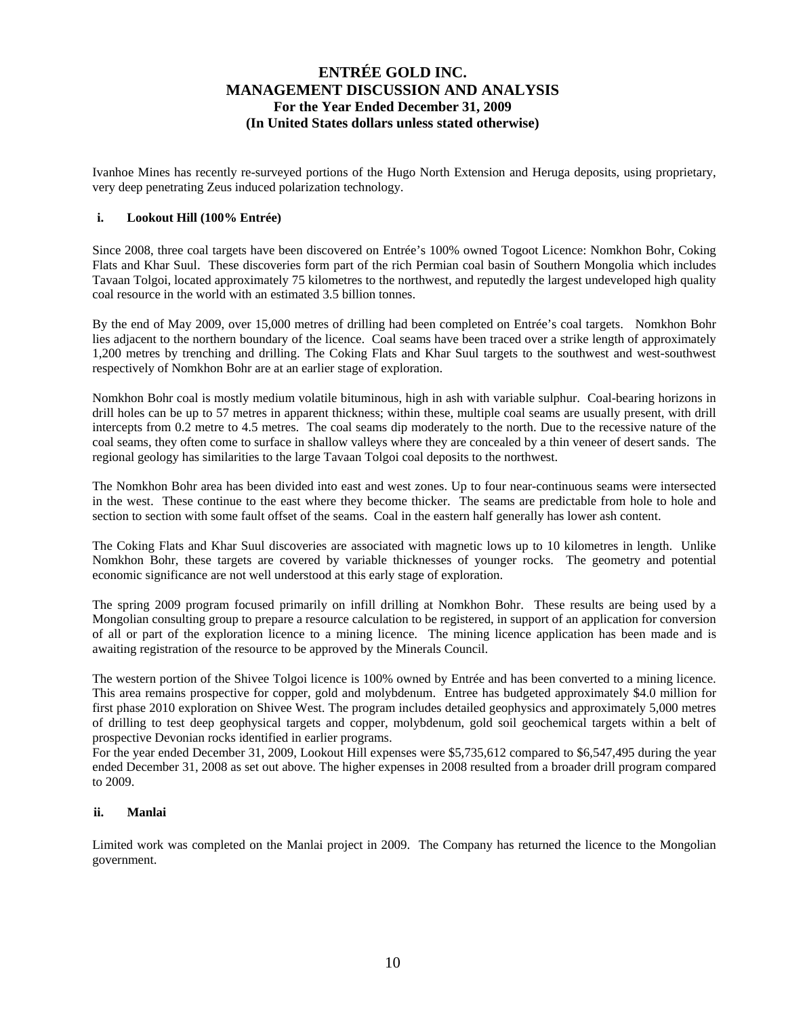Ivanhoe Mines has recently re-surveyed portions of the Hugo North Extension and Heruga deposits, using proprietary, very deep penetrating Zeus induced polarization technology.

### **i. Lookout Hill (100% Entrée)**

Since 2008, three coal targets have been discovered on Entrée's 100% owned Togoot Licence: Nomkhon Bohr, Coking Flats and Khar Suul. These discoveries form part of the rich Permian coal basin of Southern Mongolia which includes Tavaan Tolgoi, located approximately 75 kilometres to the northwest, and reputedly the largest undeveloped high quality coal resource in the world with an estimated 3.5 billion tonnes.

By the end of May 2009, over 15,000 metres of drilling had been completed on Entrée's coal targets. Nomkhon Bohr lies adjacent to the northern boundary of the licence. Coal seams have been traced over a strike length of approximately 1,200 metres by trenching and drilling. The Coking Flats and Khar Suul targets to the southwest and west-southwest respectively of Nomkhon Bohr are at an earlier stage of exploration.

Nomkhon Bohr coal is mostly medium volatile bituminous, high in ash with variable sulphur. Coal-bearing horizons in drill holes can be up to 57 metres in apparent thickness; within these, multiple coal seams are usually present, with drill intercepts from 0.2 metre to 4.5 metres. The coal seams dip moderately to the north. Due to the recessive nature of the coal seams, they often come to surface in shallow valleys where they are concealed by a thin veneer of desert sands. The regional geology has similarities to the large Tavaan Tolgoi coal deposits to the northwest.

The Nomkhon Bohr area has been divided into east and west zones. Up to four near-continuous seams were intersected in the west. These continue to the east where they become thicker. The seams are predictable from hole to hole and section to section with some fault offset of the seams. Coal in the eastern half generally has lower ash content.

The Coking Flats and Khar Suul discoveries are associated with magnetic lows up to 10 kilometres in length. Unlike Nomkhon Bohr, these targets are covered by variable thicknesses of younger rocks. The geometry and potential economic significance are not well understood at this early stage of exploration.

The spring 2009 program focused primarily on infill drilling at Nomkhon Bohr. These results are being used by a Mongolian consulting group to prepare a resource calculation to be registered, in support of an application for conversion of all or part of the exploration licence to a mining licence. The mining licence application has been made and is awaiting registration of the resource to be approved by the Minerals Council.

The western portion of the Shivee Tolgoi licence is 100% owned by Entrée and has been converted to a mining licence. This area remains prospective for copper, gold and molybdenum. Entree has budgeted approximately \$4.0 million for first phase 2010 exploration on Shivee West. The program includes detailed geophysics and approximately 5,000 metres of drilling to test deep geophysical targets and copper, molybdenum, gold soil geochemical targets within a belt of prospective Devonian rocks identified in earlier programs.

For the year ended December 31, 2009, Lookout Hill expenses were \$5,735,612 compared to \$6,547,495 during the year ended December 31, 2008 as set out above. The higher expenses in 2008 resulted from a broader drill program compared to 2009.

### **ii. Manlai**

Limited work was completed on the Manlai project in 2009. The Company has returned the licence to the Mongolian government.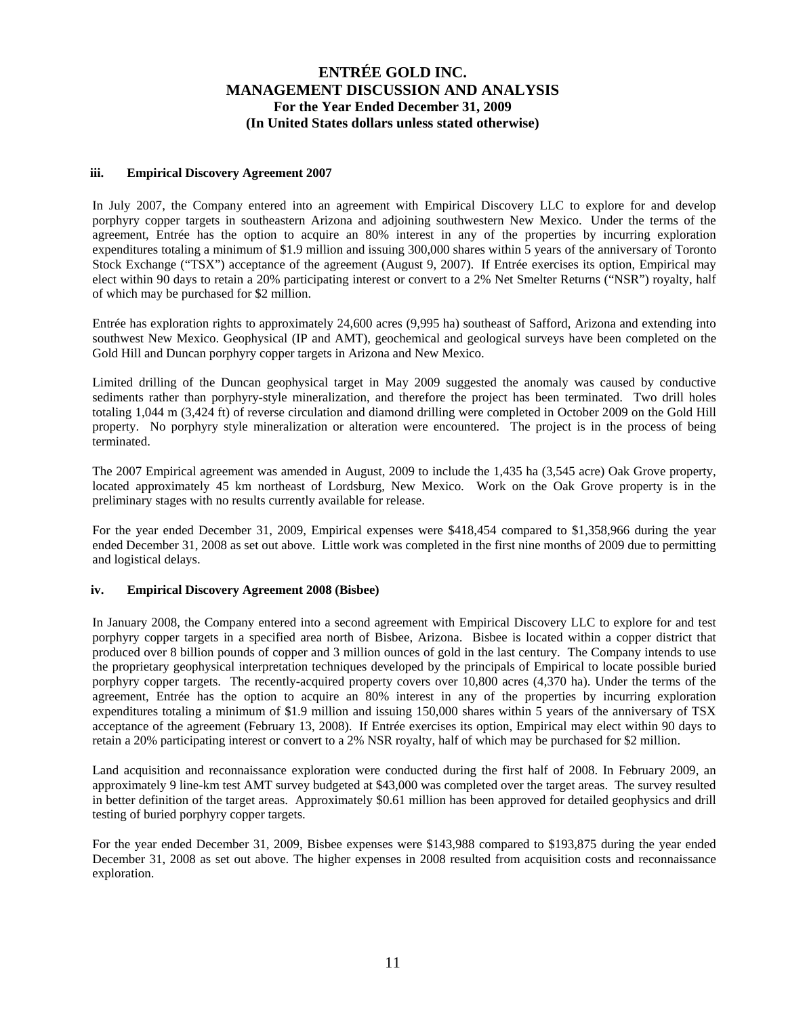### **iii. Empirical Discovery Agreement 2007**

In July 2007, the Company entered into an agreement with Empirical Discovery LLC to explore for and develop porphyry copper targets in southeastern Arizona and adjoining southwestern New Mexico. Under the terms of the agreement, Entrée has the option to acquire an 80% interest in any of the properties by incurring exploration expenditures totaling a minimum of \$1.9 million and issuing 300,000 shares within 5 years of the anniversary of Toronto Stock Exchange ("TSX") acceptance of the agreement (August 9, 2007). If Entrée exercises its option, Empirical may elect within 90 days to retain a 20% participating interest or convert to a 2% Net Smelter Returns ("NSR") royalty, half of which may be purchased for \$2 million.

Entrée has exploration rights to approximately 24,600 acres (9,995 ha) southeast of Safford, Arizona and extending into southwest New Mexico. Geophysical (IP and AMT), geochemical and geological surveys have been completed on the Gold Hill and Duncan porphyry copper targets in Arizona and New Mexico.

Limited drilling of the Duncan geophysical target in May 2009 suggested the anomaly was caused by conductive sediments rather than porphyry-style mineralization, and therefore the project has been terminated. Two drill holes totaling 1,044 m (3,424 ft) of reverse circulation and diamond drilling were completed in October 2009 on the Gold Hill property. No porphyry style mineralization or alteration were encountered. The project is in the process of being terminated.

The 2007 Empirical agreement was amended in August, 2009 to include the 1,435 ha (3,545 acre) Oak Grove property, located approximately 45 km northeast of Lordsburg, New Mexico. Work on the Oak Grove property is in the preliminary stages with no results currently available for release.

For the year ended December 31, 2009, Empirical expenses were \$418,454 compared to \$1,358,966 during the year ended December 31, 2008 as set out above. Little work was completed in the first nine months of 2009 due to permitting and logistical delays.

## **iv. Empirical Discovery Agreement 2008 (Bisbee)**

In January 2008, the Company entered into a second agreement with Empirical Discovery LLC to explore for and test porphyry copper targets in a specified area north of Bisbee, Arizona. Bisbee is located within a copper district that produced over 8 billion pounds of copper and 3 million ounces of gold in the last century. The Company intends to use the proprietary geophysical interpretation techniques developed by the principals of Empirical to locate possible buried porphyry copper targets. The recently-acquired property covers over 10,800 acres (4,370 ha). Under the terms of the agreement, Entrée has the option to acquire an 80% interest in any of the properties by incurring exploration expenditures totaling a minimum of \$1.9 million and issuing 150,000 shares within 5 years of the anniversary of TSX acceptance of the agreement (February 13, 2008). If Entrée exercises its option, Empirical may elect within 90 days to retain a 20% participating interest or convert to a 2% NSR royalty, half of which may be purchased for \$2 million.

Land acquisition and reconnaissance exploration were conducted during the first half of 2008. In February 2009, an approximately 9 line-km test AMT survey budgeted at \$43,000 was completed over the target areas. The survey resulted in better definition of the target areas. Approximately \$0.61 million has been approved for detailed geophysics and drill testing of buried porphyry copper targets.

For the year ended December 31, 2009, Bisbee expenses were \$143,988 compared to \$193,875 during the year ended December 31, 2008 as set out above. The higher expenses in 2008 resulted from acquisition costs and reconnaissance exploration.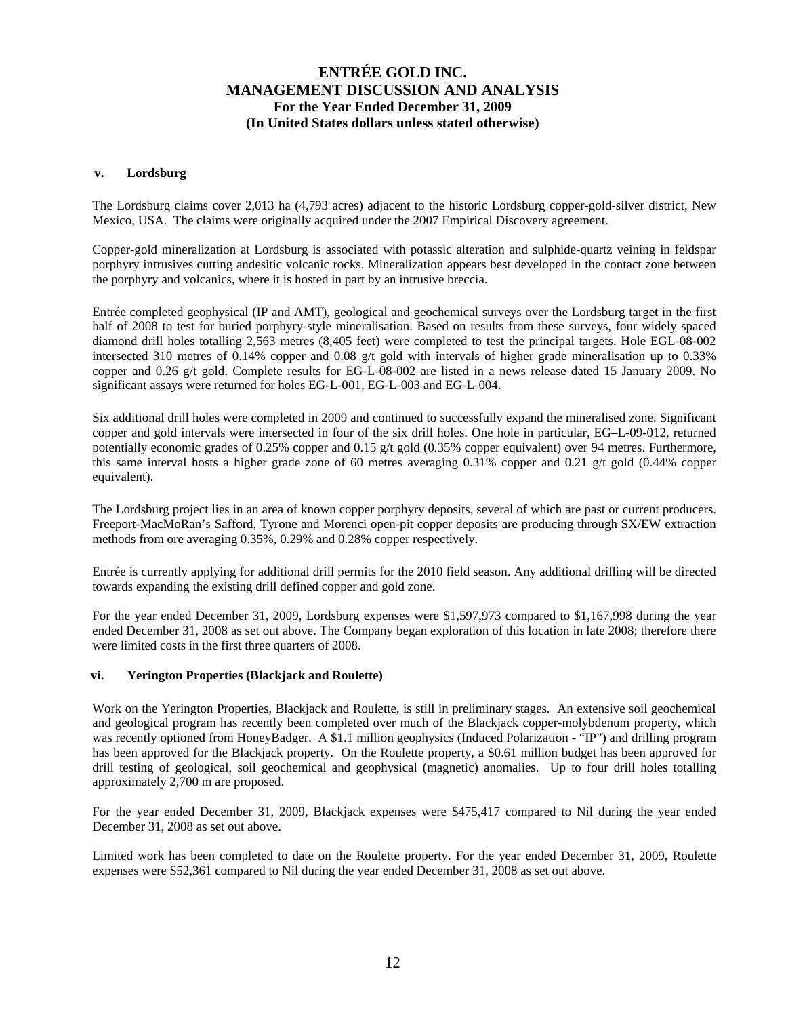### **v. Lordsburg**

The Lordsburg claims cover 2,013 ha (4,793 acres) adjacent to the historic Lordsburg copper-gold-silver district, New Mexico, USA. The claims were originally acquired under the 2007 Empirical Discovery agreement.

Copper-gold mineralization at Lordsburg is associated with potassic alteration and sulphide-quartz veining in feldspar porphyry intrusives cutting andesitic volcanic rocks. Mineralization appears best developed in the contact zone between the porphyry and volcanics, where it is hosted in part by an intrusive breccia.

Entrée completed geophysical (IP and AMT), geological and geochemical surveys over the Lordsburg target in the first half of 2008 to test for buried porphyry-style mineralisation. Based on results from these surveys, four widely spaced diamond drill holes totalling 2,563 metres (8,405 feet) were completed to test the principal targets. Hole EGL-08-002 intersected 310 metres of 0.14% copper and 0.08 g/t gold with intervals of higher grade mineralisation up to 0.33% copper and 0.26 g/t gold. Complete results for EG-L-08-002 are listed in a news release dated 15 January 2009. No significant assays were returned for holes EG-L-001, EG-L-003 and EG-L-004.

Six additional drill holes were completed in 2009 and continued to successfully expand the mineralised zone. Significant copper and gold intervals were intersected in four of the six drill holes. One hole in particular, EG–L-09-012, returned potentially economic grades of 0.25% copper and 0.15 g/t gold (0.35% copper equivalent) over 94 metres. Furthermore, this same interval hosts a higher grade zone of 60 metres averaging 0.31% copper and 0.21 g/t gold (0.44% copper equivalent).

The Lordsburg project lies in an area of known copper porphyry deposits, several of which are past or current producers. Freeport-MacMoRan's Safford, Tyrone and Morenci open-pit copper deposits are producing through SX/EW extraction methods from ore averaging 0.35%, 0.29% and 0.28% copper respectively.

Entrée is currently applying for additional drill permits for the 2010 field season. Any additional drilling will be directed towards expanding the existing drill defined copper and gold zone.

For the year ended December 31, 2009, Lordsburg expenses were \$1,597,973 compared to \$1,167,998 during the year ended December 31, 2008 as set out above. The Company began exploration of this location in late 2008; therefore there were limited costs in the first three quarters of 2008.

#### **vi. Yerington Properties (Blackjack and Roulette)**

Work on the Yerington Properties, Blackjack and Roulette, is still in preliminary stages. An extensive soil geochemical and geological program has recently been completed over much of the Blackjack copper-molybdenum property, which was recently optioned from HoneyBadger. A \$1.1 million geophysics (Induced Polarization - "IP") and drilling program has been approved for the Blackjack property. On the Roulette property, a \$0.61 million budget has been approved for drill testing of geological, soil geochemical and geophysical (magnetic) anomalies. Up to four drill holes totalling approximately 2,700 m are proposed.

For the year ended December 31, 2009, Blackjack expenses were \$475,417 compared to Nil during the year ended December 31, 2008 as set out above.

Limited work has been completed to date on the Roulette property. For the year ended December 31, 2009, Roulette expenses were \$52,361 compared to Nil during the year ended December 31, 2008 as set out above.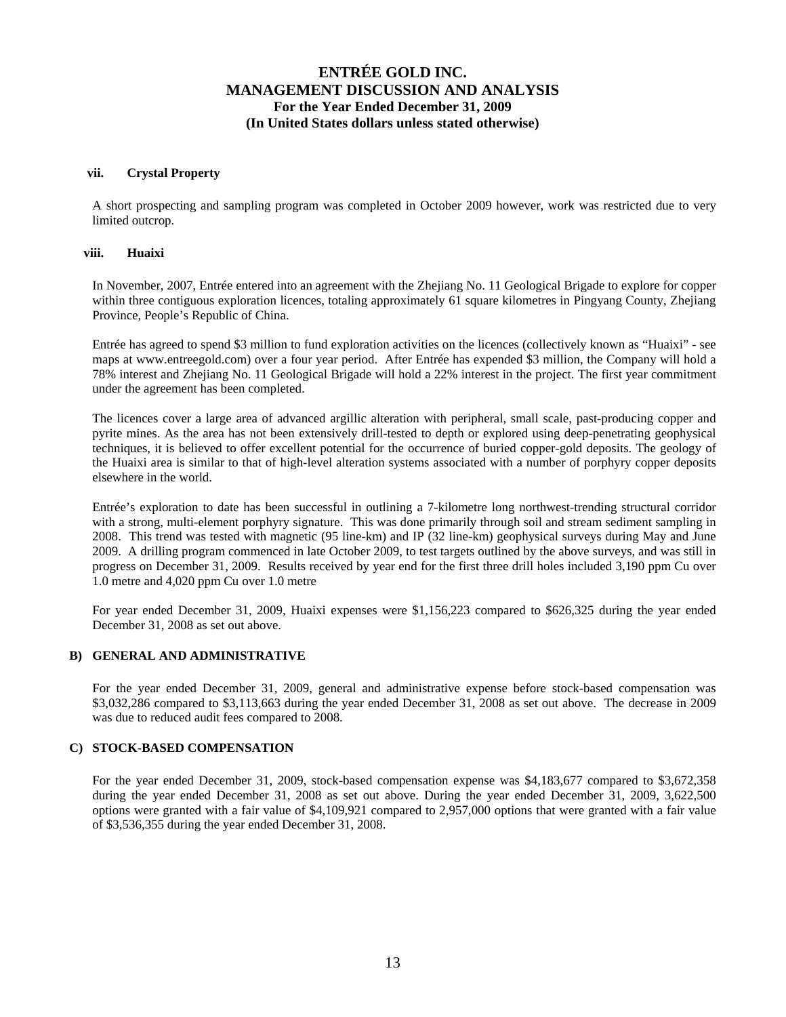### **vii. Crystal Property**

A short prospecting and sampling program was completed in October 2009 however, work was restricted due to very limited outcrop.

### **viii. Huaixi**

In November, 2007, Entrée entered into an agreement with the Zhejiang No. 11 Geological Brigade to explore for copper within three contiguous exploration licences, totaling approximately 61 square kilometres in Pingyang County, Zhejiang Province, People's Republic of China.

Entrée has agreed to spend \$3 million to fund exploration activities on the licences (collectively known as "Huaixi" - see maps at www.entreegold.com) over a four year period. After Entrée has expended \$3 million, the Company will hold a 78% interest and Zhejiang No. 11 Geological Brigade will hold a 22% interest in the project. The first year commitment under the agreement has been completed.

The licences cover a large area of advanced argillic alteration with peripheral, small scale, past-producing copper and pyrite mines. As the area has not been extensively drill-tested to depth or explored using deep-penetrating geophysical techniques, it is believed to offer excellent potential for the occurrence of buried copper-gold deposits. The geology of the Huaixi area is similar to that of high-level alteration systems associated with a number of porphyry copper deposits elsewhere in the world.

Entrée's exploration to date has been successful in outlining a 7-kilometre long northwest-trending structural corridor with a strong, multi-element porphyry signature. This was done primarily through soil and stream sediment sampling in 2008. This trend was tested with magnetic (95 line-km) and IP (32 line-km) geophysical surveys during May and June 2009. A drilling program commenced in late October 2009, to test targets outlined by the above surveys, and was still in progress on December 31, 2009. Results received by year end for the first three drill holes included 3,190 ppm Cu over 1.0 metre and 4,020 ppm Cu over 1.0 metre

For year ended December 31, 2009, Huaixi expenses were \$1,156,223 compared to \$626,325 during the year ended December 31, 2008 as set out above.

## **B) GENERAL AND ADMINISTRATIVE**

For the year ended December 31, 2009, general and administrative expense before stock-based compensation was \$3,032,286 compared to \$3,113,663 during the year ended December 31, 2008 as set out above. The decrease in 2009 was due to reduced audit fees compared to 2008.

## **C) STOCK-BASED COMPENSATION**

For the year ended December 31, 2009, stock-based compensation expense was \$4,183,677 compared to \$3,672,358 during the year ended December 31, 2008 as set out above. During the year ended December 31, 2009, 3,622,500 options were granted with a fair value of \$4,109,921 compared to 2,957,000 options that were granted with a fair value of \$3,536,355 during the year ended December 31, 2008.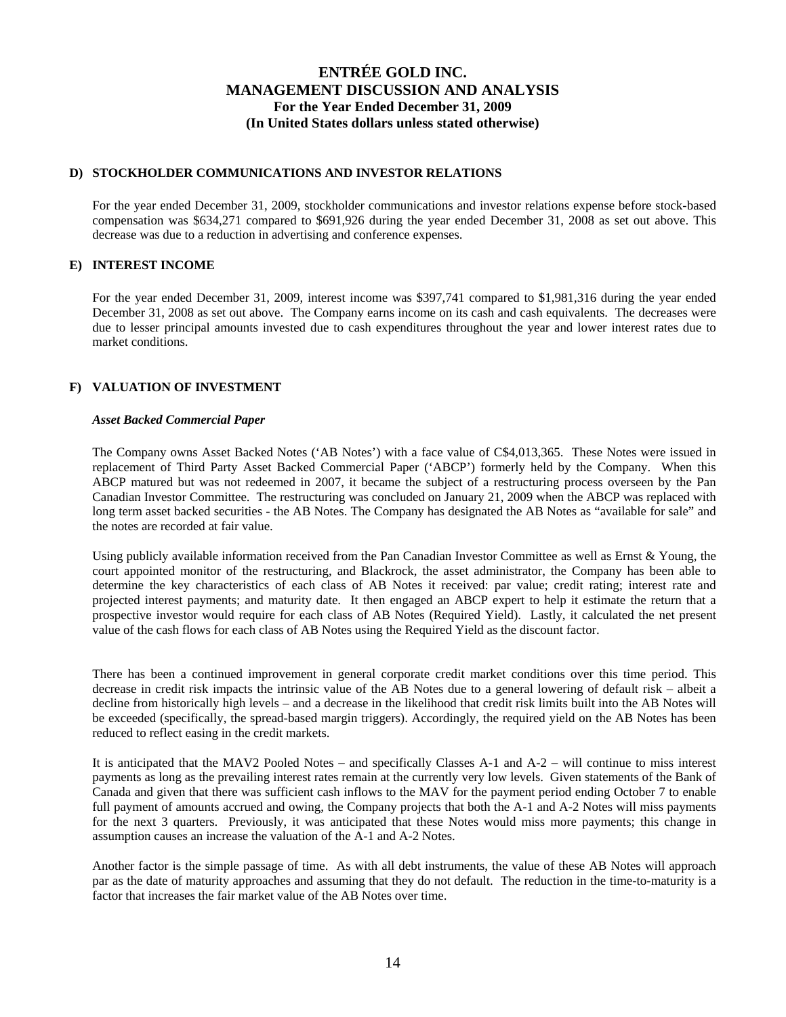## **D) STOCKHOLDER COMMUNICATIONS AND INVESTOR RELATIONS**

For the year ended December 31, 2009, stockholder communications and investor relations expense before stock-based compensation was \$634,271 compared to \$691,926 during the year ended December 31, 2008 as set out above. This decrease was due to a reduction in advertising and conference expenses.

### **E) INTEREST INCOME**

For the year ended December 31, 2009, interest income was \$397,741 compared to \$1,981,316 during the year ended December 31, 2008 as set out above. The Company earns income on its cash and cash equivalents. The decreases were due to lesser principal amounts invested due to cash expenditures throughout the year and lower interest rates due to market conditions.

### **F) VALUATION OF INVESTMENT**

#### *Asset Backed Commercial Paper*

The Company owns Asset Backed Notes ('AB Notes') with a face value of C\$4,013,365. These Notes were issued in replacement of Third Party Asset Backed Commercial Paper ('ABCP') formerly held by the Company. When this ABCP matured but was not redeemed in 2007, it became the subject of a restructuring process overseen by the Pan Canadian Investor Committee. The restructuring was concluded on January 21, 2009 when the ABCP was replaced with long term asset backed securities - the AB Notes. The Company has designated the AB Notes as "available for sale" and the notes are recorded at fair value.

Using publicly available information received from the Pan Canadian Investor Committee as well as Ernst & Young, the court appointed monitor of the restructuring, and Blackrock, the asset administrator, the Company has been able to determine the key characteristics of each class of AB Notes it received: par value; credit rating; interest rate and projected interest payments; and maturity date. It then engaged an ABCP expert to help it estimate the return that a prospective investor would require for each class of AB Notes (Required Yield). Lastly, it calculated the net present value of the cash flows for each class of AB Notes using the Required Yield as the discount factor.

There has been a continued improvement in general corporate credit market conditions over this time period. This decrease in credit risk impacts the intrinsic value of the AB Notes due to a general lowering of default risk – albeit a decline from historically high levels – and a decrease in the likelihood that credit risk limits built into the AB Notes will be exceeded (specifically, the spread-based margin triggers). Accordingly, the required yield on the AB Notes has been reduced to reflect easing in the credit markets.

It is anticipated that the MAV2 Pooled Notes – and specifically Classes A-1 and A-2 – will continue to miss interest payments as long as the prevailing interest rates remain at the currently very low levels. Given statements of the Bank of Canada and given that there was sufficient cash inflows to the MAV for the payment period ending October 7 to enable full payment of amounts accrued and owing, the Company projects that both the A-1 and A-2 Notes will miss payments for the next 3 quarters. Previously, it was anticipated that these Notes would miss more payments; this change in assumption causes an increase the valuation of the A-1 and A-2 Notes.

Another factor is the simple passage of time. As with all debt instruments, the value of these AB Notes will approach par as the date of maturity approaches and assuming that they do not default. The reduction in the time-to-maturity is a factor that increases the fair market value of the AB Notes over time.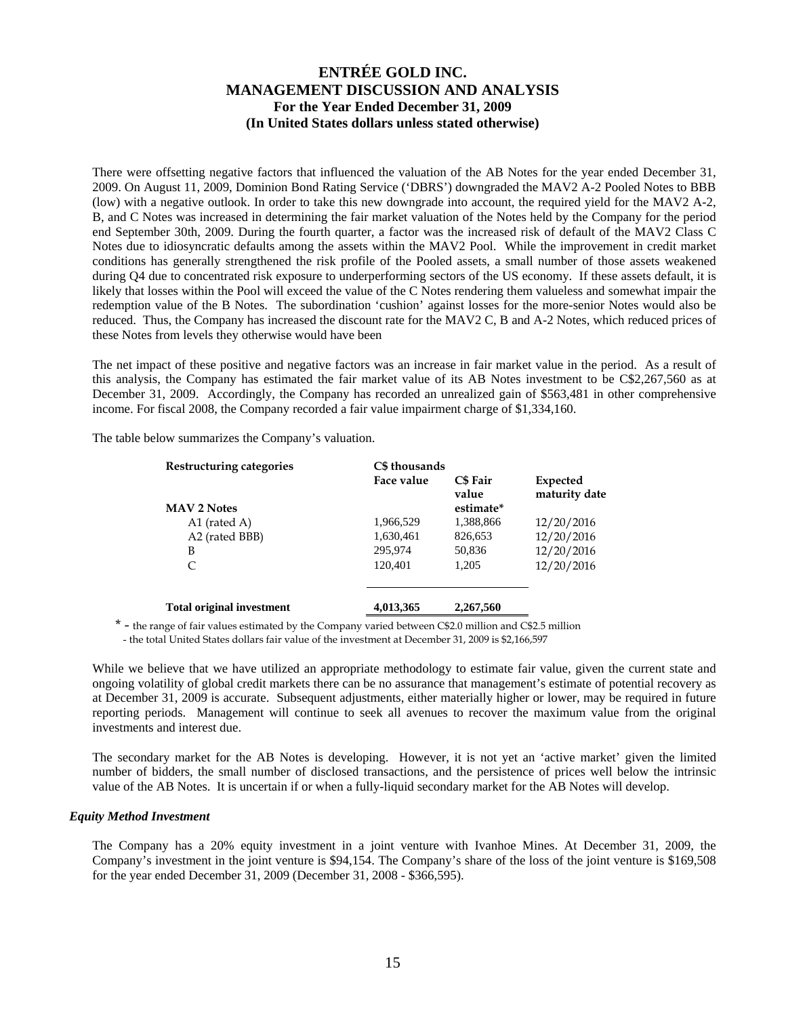There were offsetting negative factors that influenced the valuation of the AB Notes for the year ended December 31, 2009. On August 11, 2009, Dominion Bond Rating Service ('DBRS') downgraded the MAV2 A-2 Pooled Notes to BBB (low) with a negative outlook. In order to take this new downgrade into account, the required yield for the MAV2 A-2, B, and C Notes was increased in determining the fair market valuation of the Notes held by the Company for the period end September 30th, 2009. During the fourth quarter, a factor was the increased risk of default of the MAV2 Class C Notes due to idiosyncratic defaults among the assets within the MAV2 Pool. While the improvement in credit market conditions has generally strengthened the risk profile of the Pooled assets, a small number of those assets weakened during Q4 due to concentrated risk exposure to underperforming sectors of the US economy. If these assets default, it is likely that losses within the Pool will exceed the value of the C Notes rendering them valueless and somewhat impair the redemption value of the B Notes. The subordination 'cushion' against losses for the more-senior Notes would also be reduced. Thus, the Company has increased the discount rate for the MAV2 C, B and A-2 Notes, which reduced prices of these Notes from levels they otherwise would have been

The net impact of these positive and negative factors was an increase in fair market value in the period. As a result of this analysis, the Company has estimated the fair market value of its AB Notes investment to be C\$2,267,560 as at December 31, 2009. Accordingly, the Company has recorded an unrealized gain of \$563,481 in other comprehensive income. For fiscal 2008, the Company recorded a fair value impairment charge of \$1,334,160.

The table below summarizes the Company's valuation.

| Restructuring categories<br><b>MAV 2 Notes</b> | C\$ thousands<br>Face value | <b>C\$</b> Fair<br>value<br>estimate* | Expected<br>maturity date |
|------------------------------------------------|-----------------------------|---------------------------------------|---------------------------|
| A1 (rated A)                                   | 1,966,529                   | 1,388,866                             | 12/20/2016                |
| A2 (rated BBB)                                 | 1,630,461                   | 826,653                               | 12/20/2016                |
| B                                              | 295,974                     | 50,836                                | 12/20/2016                |
| C                                              | 120.401                     | 1,205                                 | 12/20/2016                |
| <b>Total original investment</b>               | 4,013,365                   | 2,267,560                             |                           |
|                                                |                             |                                       |                           |

\* - the range of fair values estimated by the Company varied between C\$2.0 million and C\$2.5 million - the total United States dollars fair value of the investment at December 31, 2009 is \$2,166,597

While we believe that we have utilized an appropriate methodology to estimate fair value, given the current state and ongoing volatility of global credit markets there can be no assurance that management's estimate of potential recovery as at December 31, 2009 is accurate. Subsequent adjustments, either materially higher or lower, may be required in future reporting periods. Management will continue to seek all avenues to recover the maximum value from the original investments and interest due.

The secondary market for the AB Notes is developing. However, it is not yet an 'active market' given the limited number of bidders, the small number of disclosed transactions, and the persistence of prices well below the intrinsic value of the AB Notes. It is uncertain if or when a fully-liquid secondary market for the AB Notes will develop.

#### *Equity Method Investment*

The Company has a 20% equity investment in a joint venture with Ivanhoe Mines. At December 31, 2009, the Company's investment in the joint venture is \$94,154. The Company's share of the loss of the joint venture is \$169,508 for the year ended December 31, 2009 (December 31, 2008 - \$366,595).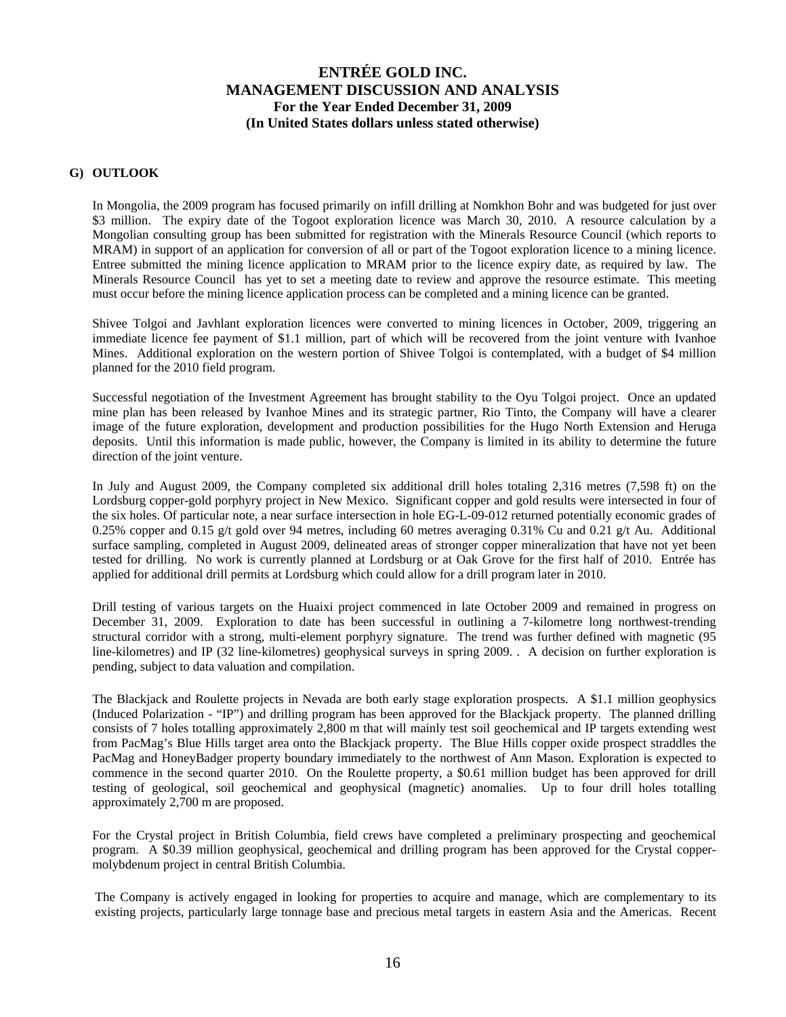### **G) OUTLOOK**

In Mongolia, the 2009 program has focused primarily on infill drilling at Nomkhon Bohr and was budgeted for just over \$3 million. The expiry date of the Togoot exploration licence was March 30, 2010. A resource calculation by a Mongolian consulting group has been submitted for registration with the Minerals Resource Council (which reports to MRAM) in support of an application for conversion of all or part of the Togoot exploration licence to a mining licence. Entree submitted the mining licence application to MRAM prior to the licence expiry date, as required by law. The Minerals Resource Council has yet to set a meeting date to review and approve the resource estimate. This meeting must occur before the mining licence application process can be completed and a mining licence can be granted.

Shivee Tolgoi and Javhlant exploration licences were converted to mining licences in October, 2009, triggering an immediate licence fee payment of \$1.1 million, part of which will be recovered from the joint venture with Ivanhoe Mines. Additional exploration on the western portion of Shivee Tolgoi is contemplated, with a budget of \$4 million planned for the 2010 field program.

Successful negotiation of the Investment Agreement has brought stability to the Oyu Tolgoi project. Once an updated mine plan has been released by Ivanhoe Mines and its strategic partner, Rio Tinto, the Company will have a clearer image of the future exploration, development and production possibilities for the Hugo North Extension and Heruga deposits. Until this information is made public, however, the Company is limited in its ability to determine the future direction of the joint venture.

In July and August 2009, the Company completed six additional drill holes totaling 2,316 metres (7,598 ft) on the Lordsburg copper-gold porphyry project in New Mexico. Significant copper and gold results were intersected in four of the six holes. Of particular note, a near surface intersection in hole EG-L-09-012 returned potentially economic grades of 0.25% copper and 0.15 g/t gold over 94 metres, including 60 metres averaging 0.31% Cu and 0.21 g/t Au. Additional surface sampling, completed in August 2009, delineated areas of stronger copper mineralization that have not yet been tested for drilling. No work is currently planned at Lordsburg or at Oak Grove for the first half of 2010. Entrée has applied for additional drill permits at Lordsburg which could allow for a drill program later in 2010.

Drill testing of various targets on the Huaixi project commenced in late October 2009 and remained in progress on December 31, 2009. Exploration to date has been successful in outlining a 7-kilometre long northwest-trending structural corridor with a strong, multi-element porphyry signature. The trend was further defined with magnetic (95 line-kilometres) and IP (32 line-kilometres) geophysical surveys in spring 2009. . A decision on further exploration is pending, subject to data valuation and compilation.

The Blackjack and Roulette projects in Nevada are both early stage exploration prospects. A \$1.1 million geophysics (Induced Polarization - "IP") and drilling program has been approved for the Blackjack property. The planned drilling consists of 7 holes totalling approximately 2,800 m that will mainly test soil geochemical and IP targets extending west from PacMag's Blue Hills target area onto the Blackjack property. The Blue Hills copper oxide prospect straddles the PacMag and HoneyBadger property boundary immediately to the northwest of Ann Mason. Exploration is expected to commence in the second quarter 2010. On the Roulette property, a \$0.61 million budget has been approved for drill testing of geological, soil geochemical and geophysical (magnetic) anomalies. Up to four drill holes totalling approximately 2,700 m are proposed.

For the Crystal project in British Columbia, field crews have completed a preliminary prospecting and geochemical program. A \$0.39 million geophysical, geochemical and drilling program has been approved for the Crystal coppermolybdenum project in central British Columbia.

The Company is actively engaged in looking for properties to acquire and manage, which are complementary to its existing projects, particularly large tonnage base and precious metal targets in eastern Asia and the Americas. Recent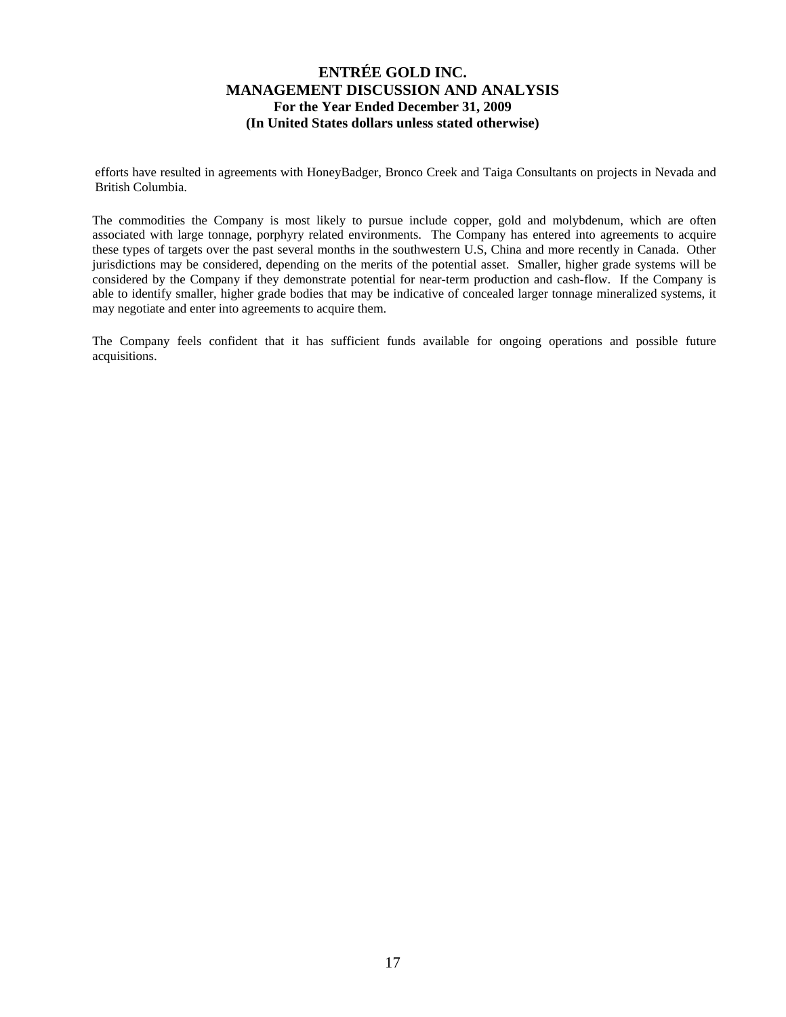efforts have resulted in agreements with HoneyBadger, Bronco Creek and Taiga Consultants on projects in Nevada and British Columbia.

The commodities the Company is most likely to pursue include copper, gold and molybdenum, which are often associated with large tonnage, porphyry related environments. The Company has entered into agreements to acquire these types of targets over the past several months in the southwestern U.S, China and more recently in Canada. Other jurisdictions may be considered, depending on the merits of the potential asset. Smaller, higher grade systems will be considered by the Company if they demonstrate potential for near-term production and cash-flow. If the Company is able to identify smaller, higher grade bodies that may be indicative of concealed larger tonnage mineralized systems, it may negotiate and enter into agreements to acquire them.

The Company feels confident that it has sufficient funds available for ongoing operations and possible future acquisitions.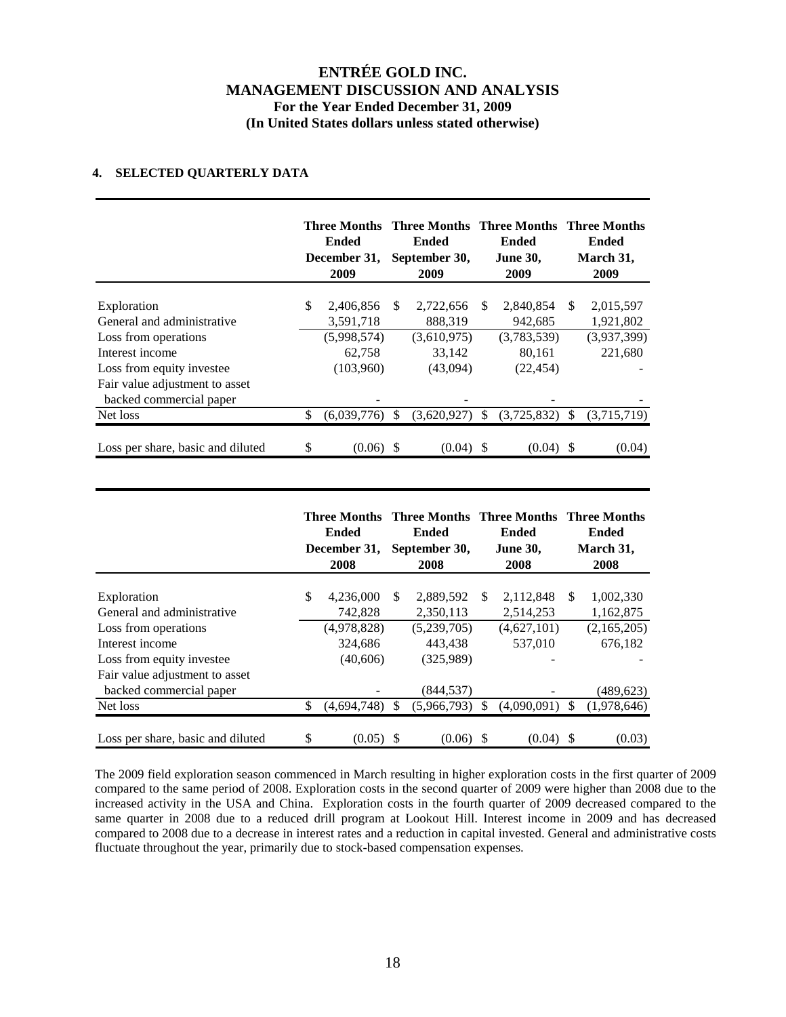## **4. SELECTED QUARTERLY DATA**

|                                                                      | <b>Ended</b><br>December 31,<br>2009 |     | Three Months Three Months Three Months Three Months<br><b>Ended</b><br>September 30,<br>2009 |              | Ended<br><b>June 30,</b><br>2009   |               | <b>Ended</b><br>March 31,<br>2009 |
|----------------------------------------------------------------------|--------------------------------------|-----|----------------------------------------------------------------------------------------------|--------------|------------------------------------|---------------|-----------------------------------|
| Exploration<br>General and administrative                            | \$<br>2,406,856<br>3,591,718         | \$. | 2,722,656<br>888,319                                                                         | \$.          | 2,840,854<br>942,685               | \$.           | 2,015,597<br>1,921,802            |
| Loss from operations<br>Interest income<br>Loss from equity investee | (5,998,574)<br>62,758<br>(103,960)   |     | (3,610,975)<br>33,142<br>(43,094)                                                            |              | (3,783,539)<br>80,161<br>(22, 454) |               | (3,937,399)<br>221,680            |
| Fair value adjustment to asset<br>backed commercial paper            |                                      |     |                                                                                              |              |                                    |               |                                   |
| Net loss                                                             | \$<br>(6,039,776)                    | \$  | (3,620,927)                                                                                  | $\mathbb{S}$ | (3,725,832)                        | <sup>\$</sup> | (3,715,719)                       |
| Loss per share, basic and diluted                                    | \$<br>(0.06)                         |     | (0.04)                                                                                       | S            | (0.04)                             | S             | (0.04)                            |

|                                           |    | Ended<br>December 31,<br>2008 |     | Three Months Three Months Three Months Three Months<br><b>Ended</b><br>September 30,<br>2008 |               | Ended<br><b>June 30,</b><br>2008 |     | Ended<br>March 31,<br>2008 |
|-------------------------------------------|----|-------------------------------|-----|----------------------------------------------------------------------------------------------|---------------|----------------------------------|-----|----------------------------|
|                                           |    |                               |     |                                                                                              | \$.           |                                  | \$. |                            |
| Exploration<br>General and administrative | \$ | 4,236,000<br>742,828          | \$. | 2,889,592<br>2,350,113                                                                       |               | 2,112,848<br>2,514,253           |     | 1,002,330<br>1,162,875     |
| Loss from operations                      |    | (4,978,828)                   |     | (5,239,705)                                                                                  |               | (4,627,101)                      |     | (2,165,205)                |
| Interest income                           |    | 324,686                       |     | 443.438                                                                                      |               | 537,010                          |     | 676.182                    |
| Loss from equity investee                 |    | (40,606)                      |     | (325,989)                                                                                    |               |                                  |     |                            |
| Fair value adjustment to asset            |    |                               |     |                                                                                              |               |                                  |     |                            |
| backed commercial paper                   |    |                               |     | (844, 537)                                                                                   |               |                                  |     | (489, 623)                 |
| Net loss                                  | S  | (4,694,748)                   | \$. | (5,966,793)                                                                                  | <sup>\$</sup> | (4,090,091)                      | S   | (1,978,646)                |
| Loss per share, basic and diluted         | \$ | (0.05)                        |     | (0.06)                                                                                       | S.            | (0.04)                           | S   | (0.03)                     |

The 2009 field exploration season commenced in March resulting in higher exploration costs in the first quarter of 2009 compared to the same period of 2008. Exploration costs in the second quarter of 2009 were higher than 2008 due to the increased activity in the USA and China. Exploration costs in the fourth quarter of 2009 decreased compared to the same quarter in 2008 due to a reduced drill program at Lookout Hill. Interest income in 2009 and has decreased compared to 2008 due to a decrease in interest rates and a reduction in capital invested. General and administrative costs fluctuate throughout the year, primarily due to stock-based compensation expenses.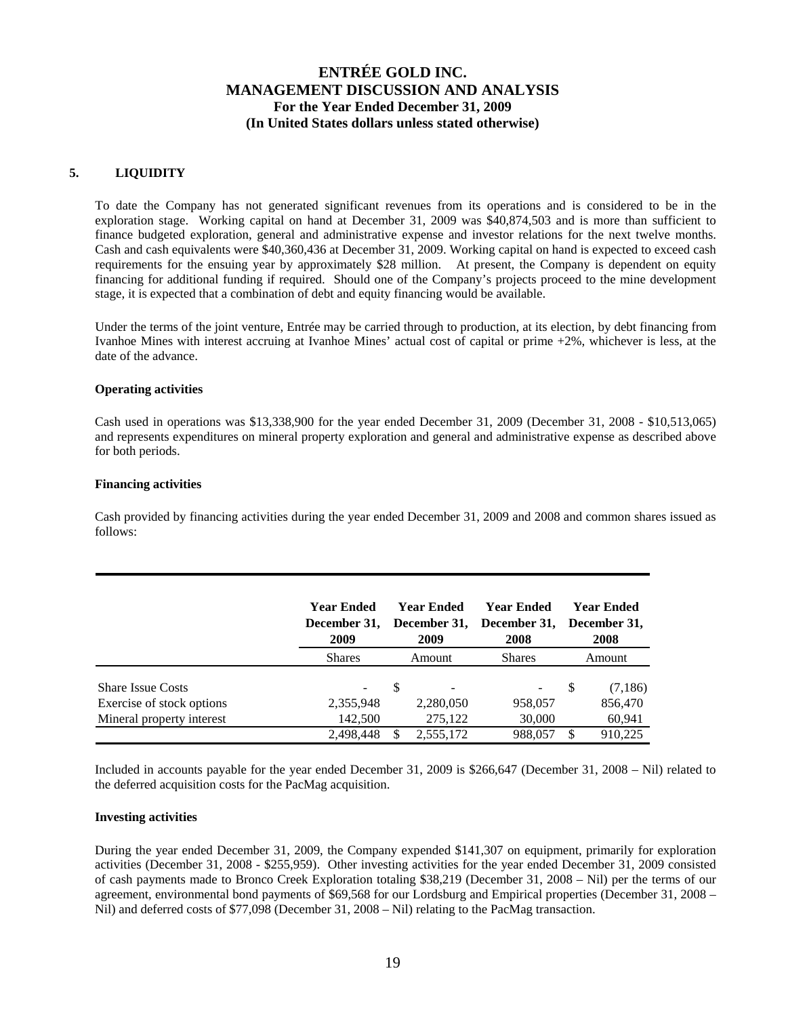## **5. LIQUIDITY**

To date the Company has not generated significant revenues from its operations and is considered to be in the exploration stage. Working capital on hand at December 31, 2009 was \$40,874,503 and is more than sufficient to finance budgeted exploration, general and administrative expense and investor relations for the next twelve months. Cash and cash equivalents were \$40,360,436 at December 31, 2009. Working capital on hand is expected to exceed cash requirements for the ensuing year by approximately \$28 million. At present, the Company is dependent on equity financing for additional funding if required. Should one of the Company's projects proceed to the mine development stage, it is expected that a combination of debt and equity financing would be available.

Under the terms of the joint venture, Entrée may be carried through to production, at its election, by debt financing from Ivanhoe Mines with interest accruing at Ivanhoe Mines' actual cost of capital or prime +2%, whichever is less, at the date of the advance.

### **Operating activities**

Cash used in operations was \$13,338,900 for the year ended December 31, 2009 (December 31, 2008 - \$10,513,065) and represents expenditures on mineral property exploration and general and administrative expense as described above for both periods.

### **Financing activities**

Cash provided by financing activities during the year ended December 31, 2009 and 2008 and common shares issued as follows:

|                           | Year Ended<br>December 31,<br>2009 | Year Ended<br>2009 | <b>Year Ended</b><br>December 31, December 31,<br>2008 |        | <b>Year Ended</b><br>December 31.<br>2008 |
|---------------------------|------------------------------------|--------------------|--------------------------------------------------------|--------|-------------------------------------------|
|                           | <b>Shares</b>                      | Amount             | <b>Shares</b>                                          | Amount |                                           |
| <b>Share Issue Costs</b>  | -                                  | S                  |                                                        | S      | (7,186)                                   |
| Exercise of stock options | 2,355,948                          | 2,280,050          | 958,057                                                |        | 856,470                                   |
| Mineral property interest | 142,500                            | 275.122            | 30,000                                                 |        | 60,941                                    |
|                           | 2.498.448                          | 2,555,172          | 988,057                                                |        | 910,225                                   |

Included in accounts payable for the year ended December 31, 2009 is \$266,647 (December 31, 2008 – Nil) related to the deferred acquisition costs for the PacMag acquisition.

#### **Investing activities**

During the year ended December 31, 2009, the Company expended \$141,307 on equipment, primarily for exploration activities (December 31, 2008 - \$255,959). Other investing activities for the year ended December 31, 2009 consisted of cash payments made to Bronco Creek Exploration totaling \$38,219 (December 31, 2008 – Nil) per the terms of our agreement, environmental bond payments of \$69,568 for our Lordsburg and Empirical properties (December 31, 2008 – Nil) and deferred costs of \$77,098 (December 31, 2008 – Nil) relating to the PacMag transaction.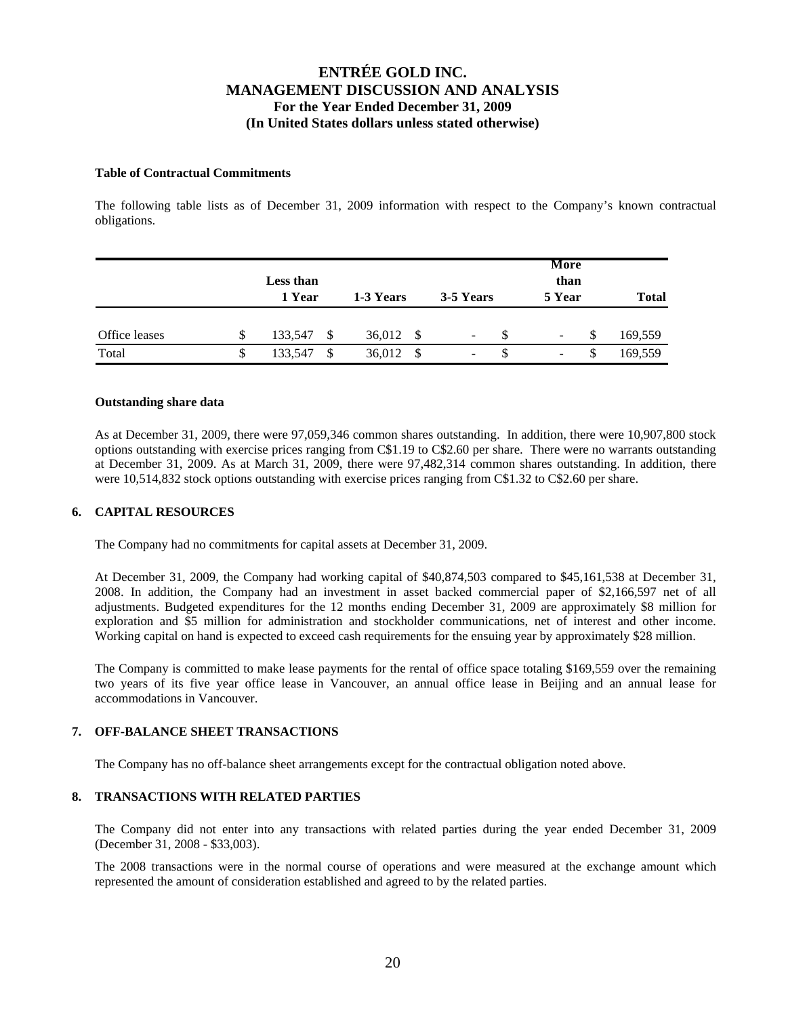### **Table of Contractual Commitments**

The following table lists as of December 31, 2009 information with respect to the Company's known contractual obligations.

|               |   | Less than<br>1 Year | 1-3 Years      | 3-5 Years | More<br>than<br>5 Year   | <b>Total</b> |
|---------------|---|---------------------|----------------|-----------|--------------------------|--------------|
| Office leases | S | 133,547<br>-\$      | 36,012<br>- \$ | -         | $\overline{\phantom{a}}$ | 169,559      |
| Total         |   | 133,547<br>\$       | 36,012<br>- S  | -         | $\overline{\phantom{a}}$ | 169,559      |

### **Outstanding share data**

As at December 31, 2009, there were 97,059,346 common shares outstanding. In addition, there were 10,907,800 stock options outstanding with exercise prices ranging from C\$1.19 to C\$2.60 per share. There were no warrants outstanding at December 31, 2009. As at March 31, 2009, there were 97,482,314 common shares outstanding. In addition, there were 10,514,832 stock options outstanding with exercise prices ranging from C\$1.32 to C\$2.60 per share.

### **6. CAPITAL RESOURCES**

The Company had no commitments for capital assets at December 31, 2009.

At December 31, 2009, the Company had working capital of \$40,874,503 compared to \$45,161,538 at December 31, 2008. In addition, the Company had an investment in asset backed commercial paper of \$2,166,597 net of all adjustments. Budgeted expenditures for the 12 months ending December 31, 2009 are approximately \$8 million for exploration and \$5 million for administration and stockholder communications, net of interest and other income. Working capital on hand is expected to exceed cash requirements for the ensuing year by approximately \$28 million.

The Company is committed to make lease payments for the rental of office space totaling \$169,559 over the remaining two years of its five year office lease in Vancouver, an annual office lease in Beijing and an annual lease for accommodations in Vancouver.

## **7. OFF-BALANCE SHEET TRANSACTIONS**

The Company has no off-balance sheet arrangements except for the contractual obligation noted above.

### **8. TRANSACTIONS WITH RELATED PARTIES**

The Company did not enter into any transactions with related parties during the year ended December 31, 2009 (December 31, 2008 - \$33,003).

The 2008 transactions were in the normal course of operations and were measured at the exchange amount which represented the amount of consideration established and agreed to by the related parties.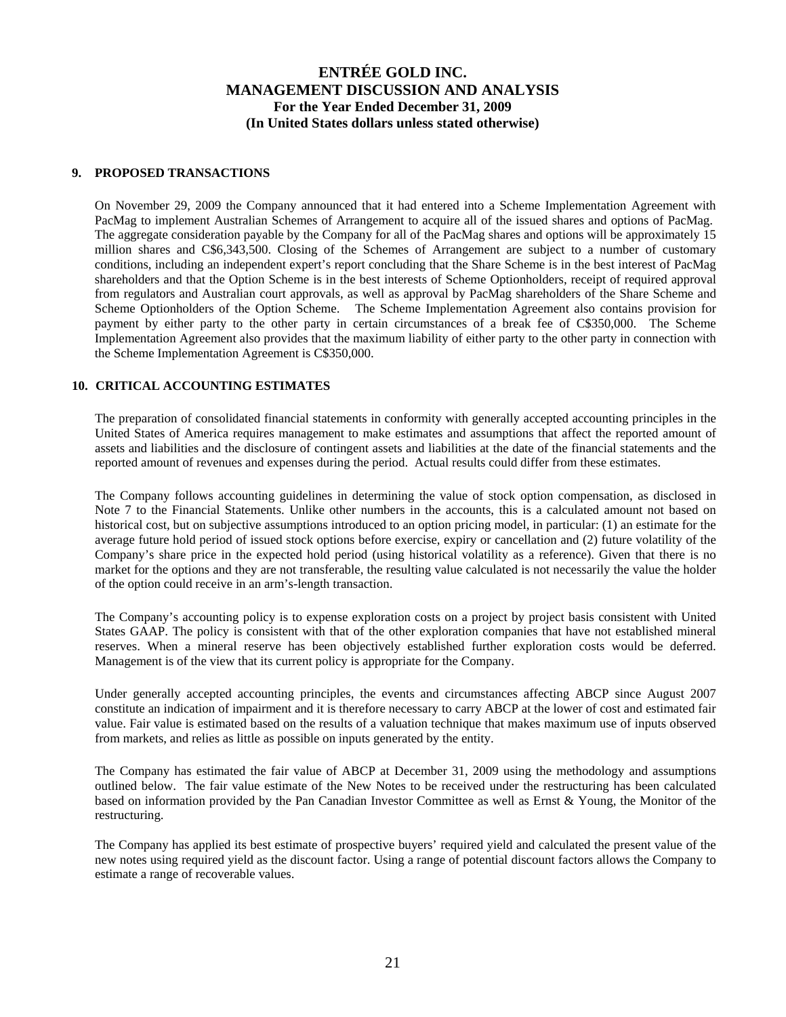### **9. PROPOSED TRANSACTIONS**

On November 29, 2009 the Company announced that it had entered into a Scheme Implementation Agreement with PacMag to implement Australian Schemes of Arrangement to acquire all of the issued shares and options of PacMag. The aggregate consideration payable by the Company for all of the PacMag shares and options will be approximately 15 million shares and C\$6,343,500. Closing of the Schemes of Arrangement are subject to a number of customary conditions, including an independent expert's report concluding that the Share Scheme is in the best interest of PacMag shareholders and that the Option Scheme is in the best interests of Scheme Optionholders, receipt of required approval from regulators and Australian court approvals, as well as approval by PacMag shareholders of the Share Scheme and Scheme Optionholders of the Option Scheme. The Scheme Implementation Agreement also contains provision for payment by either party to the other party in certain circumstances of a break fee of C\$350,000. The Scheme Implementation Agreement also provides that the maximum liability of either party to the other party in connection with the Scheme Implementation Agreement is C\$350,000.

### **10. CRITICAL ACCOUNTING ESTIMATES**

The preparation of consolidated financial statements in conformity with generally accepted accounting principles in the United States of America requires management to make estimates and assumptions that affect the reported amount of assets and liabilities and the disclosure of contingent assets and liabilities at the date of the financial statements and the reported amount of revenues and expenses during the period. Actual results could differ from these estimates.

The Company follows accounting guidelines in determining the value of stock option compensation, as disclosed in Note 7 to the Financial Statements. Unlike other numbers in the accounts, this is a calculated amount not based on historical cost, but on subjective assumptions introduced to an option pricing model, in particular: (1) an estimate for the average future hold period of issued stock options before exercise, expiry or cancellation and (2) future volatility of the Company's share price in the expected hold period (using historical volatility as a reference). Given that there is no market for the options and they are not transferable, the resulting value calculated is not necessarily the value the holder of the option could receive in an arm's-length transaction.

The Company's accounting policy is to expense exploration costs on a project by project basis consistent with United States GAAP. The policy is consistent with that of the other exploration companies that have not established mineral reserves. When a mineral reserve has been objectively established further exploration costs would be deferred. Management is of the view that its current policy is appropriate for the Company.

Under generally accepted accounting principles, the events and circumstances affecting ABCP since August 2007 constitute an indication of impairment and it is therefore necessary to carry ABCP at the lower of cost and estimated fair value. Fair value is estimated based on the results of a valuation technique that makes maximum use of inputs observed from markets, and relies as little as possible on inputs generated by the entity.

The Company has estimated the fair value of ABCP at December 31, 2009 using the methodology and assumptions outlined below. The fair value estimate of the New Notes to be received under the restructuring has been calculated based on information provided by the Pan Canadian Investor Committee as well as Ernst & Young, the Monitor of the restructuring.

The Company has applied its best estimate of prospective buyers' required yield and calculated the present value of the new notes using required yield as the discount factor. Using a range of potential discount factors allows the Company to estimate a range of recoverable values.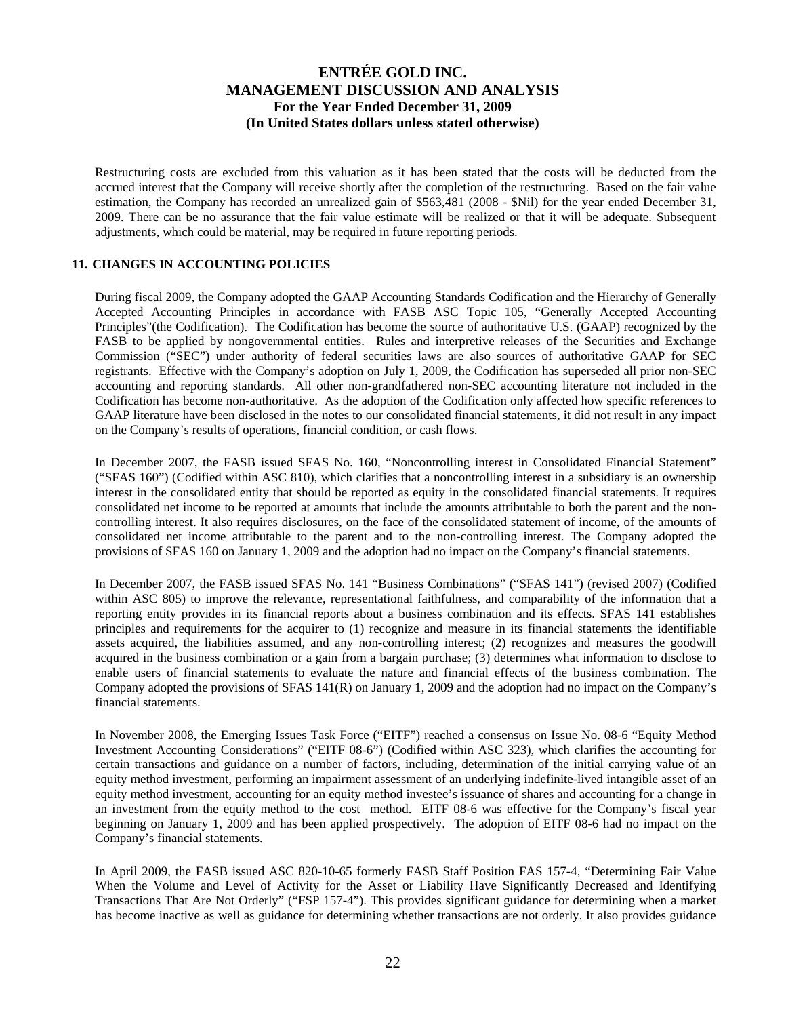Restructuring costs are excluded from this valuation as it has been stated that the costs will be deducted from the accrued interest that the Company will receive shortly after the completion of the restructuring. Based on the fair value estimation, the Company has recorded an unrealized gain of \$563,481 (2008 - \$Nil) for the year ended December 31, 2009. There can be no assurance that the fair value estimate will be realized or that it will be adequate. Subsequent adjustments, which could be material, may be required in future reporting periods.

## **11. CHANGES IN ACCOUNTING POLICIES**

During fiscal 2009, the Company adopted the GAAP Accounting Standards Codification and the Hierarchy of Generally Accepted Accounting Principles in accordance with FASB ASC Topic 105, "Generally Accepted Accounting Principles"(the Codification). The Codification has become the source of authoritative U.S. (GAAP) recognized by the FASB to be applied by nongovernmental entities. Rules and interpretive releases of the Securities and Exchange Commission ("SEC") under authority of federal securities laws are also sources of authoritative GAAP for SEC registrants. Effective with the Company's adoption on July 1, 2009, the Codification has superseded all prior non-SEC accounting and reporting standards. All other non-grandfathered non-SEC accounting literature not included in the Codification has become non-authoritative. As the adoption of the Codification only affected how specific references to GAAP literature have been disclosed in the notes to our consolidated financial statements, it did not result in any impact on the Company's results of operations, financial condition, or cash flows.

In December 2007, the FASB issued SFAS No. 160, "Noncontrolling interest in Consolidated Financial Statement" ("SFAS 160") (Codified within ASC 810), which clarifies that a noncontrolling interest in a subsidiary is an ownership interest in the consolidated entity that should be reported as equity in the consolidated financial statements. It requires consolidated net income to be reported at amounts that include the amounts attributable to both the parent and the noncontrolling interest. It also requires disclosures, on the face of the consolidated statement of income, of the amounts of consolidated net income attributable to the parent and to the non-controlling interest. The Company adopted the provisions of SFAS 160 on January 1, 2009 and the adoption had no impact on the Company's financial statements.

In December 2007, the FASB issued SFAS No. 141 "Business Combinations" ("SFAS 141") (revised 2007) (Codified within ASC 805) to improve the relevance, representational faithfulness, and comparability of the information that a reporting entity provides in its financial reports about a business combination and its effects. SFAS 141 establishes principles and requirements for the acquirer to (1) recognize and measure in its financial statements the identifiable assets acquired, the liabilities assumed, and any non-controlling interest; (2) recognizes and measures the goodwill acquired in the business combination or a gain from a bargain purchase; (3) determines what information to disclose to enable users of financial statements to evaluate the nature and financial effects of the business combination. The Company adopted the provisions of SFAS 141(R) on January 1, 2009 and the adoption had no impact on the Company's financial statements.

In November 2008, the Emerging Issues Task Force ("EITF") reached a consensus on Issue No. 08-6 "Equity Method Investment Accounting Considerations" ("EITF 08-6") (Codified within ASC 323), which clarifies the accounting for certain transactions and guidance on a number of factors, including, determination of the initial carrying value of an equity method investment, performing an impairment assessment of an underlying indefinite-lived intangible asset of an equity method investment, accounting for an equity method investee's issuance of shares and accounting for a change in an investment from the equity method to the cost method. EITF 08-6 was effective for the Company's fiscal year beginning on January 1, 2009 and has been applied prospectively. The adoption of EITF 08-6 had no impact on the Company's financial statements.

In April 2009, the FASB issued ASC 820-10-65 formerly FASB Staff Position FAS 157-4, "Determining Fair Value When the Volume and Level of Activity for the Asset or Liability Have Significantly Decreased and Identifying Transactions That Are Not Orderly" ("FSP 157-4"). This provides significant guidance for determining when a market has become inactive as well as guidance for determining whether transactions are not orderly. It also provides guidance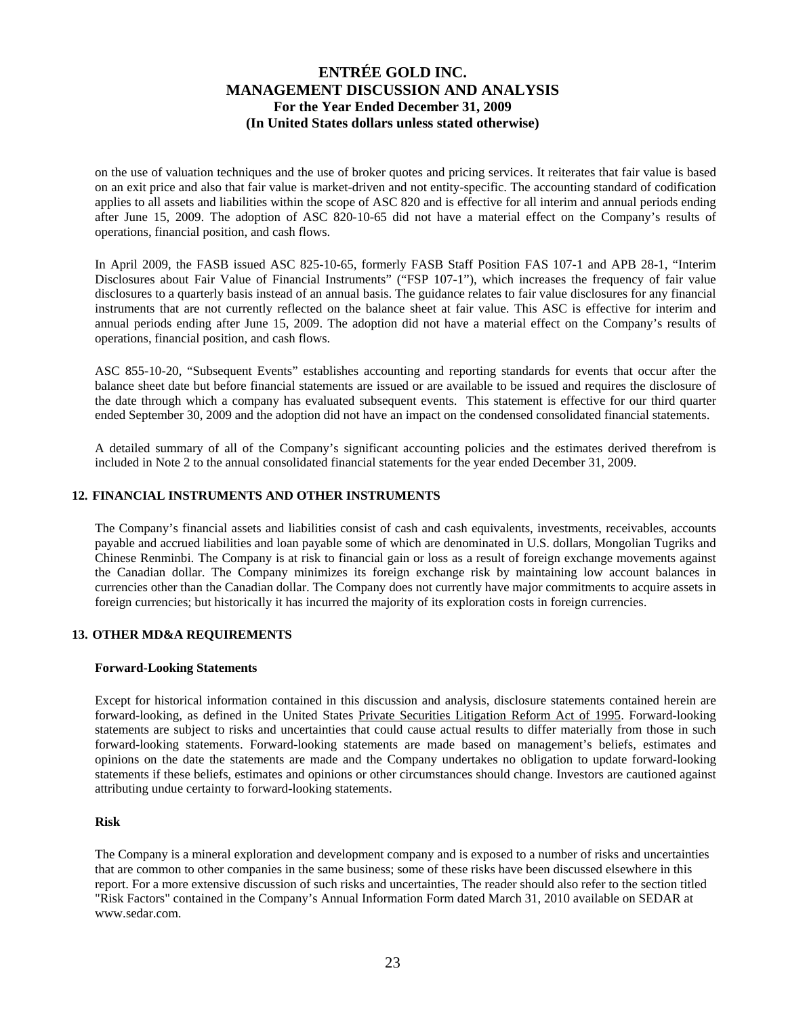on the use of valuation techniques and the use of broker quotes and pricing services. It reiterates that fair value is based on an exit price and also that fair value is market-driven and not entity-specific. The accounting standard of codification applies to all assets and liabilities within the scope of ASC 820 and is effective for all interim and annual periods ending after June 15, 2009. The adoption of ASC 820-10-65 did not have a material effect on the Company's results of operations, financial position, and cash flows.

In April 2009, the FASB issued ASC 825-10-65, formerly FASB Staff Position FAS 107-1 and APB 28-1, "Interim Disclosures about Fair Value of Financial Instruments" ("FSP 107-1"), which increases the frequency of fair value disclosures to a quarterly basis instead of an annual basis. The guidance relates to fair value disclosures for any financial instruments that are not currently reflected on the balance sheet at fair value. This ASC is effective for interim and annual periods ending after June 15, 2009. The adoption did not have a material effect on the Company's results of operations, financial position, and cash flows.

ASC 855-10-20, "Subsequent Events" establishes accounting and reporting standards for events that occur after the balance sheet date but before financial statements are issued or are available to be issued and requires the disclosure of the date through which a company has evaluated subsequent events. This statement is effective for our third quarter ended September 30, 2009 and the adoption did not have an impact on the condensed consolidated financial statements.

A detailed summary of all of the Company's significant accounting policies and the estimates derived therefrom is included in Note 2 to the annual consolidated financial statements for the year ended December 31, 2009.

### **12. FINANCIAL INSTRUMENTS AND OTHER INSTRUMENTS**

The Company's financial assets and liabilities consist of cash and cash equivalents, investments, receivables, accounts payable and accrued liabilities and loan payable some of which are denominated in U.S. dollars, Mongolian Tugriks and Chinese Renminbi. The Company is at risk to financial gain or loss as a result of foreign exchange movements against the Canadian dollar. The Company minimizes its foreign exchange risk by maintaining low account balances in currencies other than the Canadian dollar. The Company does not currently have major commitments to acquire assets in foreign currencies; but historically it has incurred the majority of its exploration costs in foreign currencies.

## **13. OTHER MD&A REQUIREMENTS**

#### **Forward-Looking Statements**

Except for historical information contained in this discussion and analysis, disclosure statements contained herein are forward-looking, as defined in the United States Private Securities Litigation Reform Act of 1995. Forward-looking statements are subject to risks and uncertainties that could cause actual results to differ materially from those in such forward-looking statements. Forward-looking statements are made based on management's beliefs, estimates and opinions on the date the statements are made and the Company undertakes no obligation to update forward-looking statements if these beliefs, estimates and opinions or other circumstances should change. Investors are cautioned against attributing undue certainty to forward-looking statements.

#### **Risk**

The Company is a mineral exploration and development company and is exposed to a number of risks and uncertainties that are common to other companies in the same business; some of these risks have been discussed elsewhere in this report. For a more extensive discussion of such risks and uncertainties, The reader should also refer to the section titled "Risk Factors" contained in the Company's Annual Information Form dated March 31, 2010 available on SEDAR at www.sedar.com.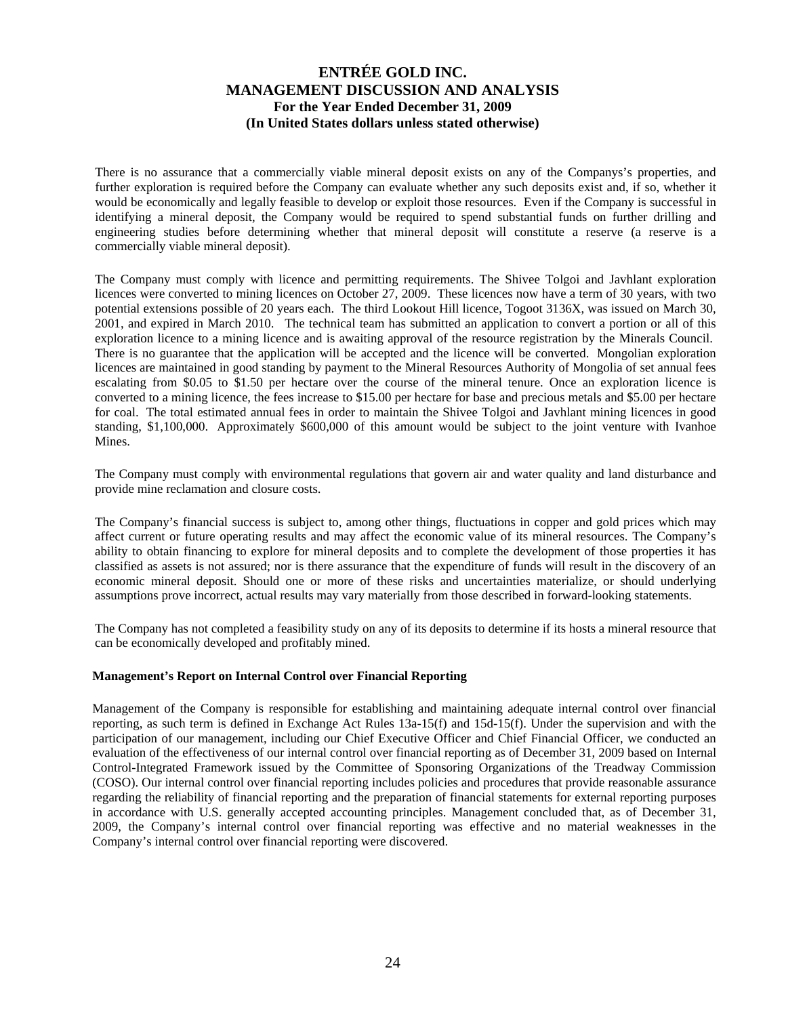There is no assurance that a commercially viable mineral deposit exists on any of the Companys's properties, and further exploration is required before the Company can evaluate whether any such deposits exist and, if so, whether it would be economically and legally feasible to develop or exploit those resources. Even if the Company is successful in identifying a mineral deposit, the Company would be required to spend substantial funds on further drilling and engineering studies before determining whether that mineral deposit will constitute a reserve (a reserve is a commercially viable mineral deposit).

The Company must comply with licence and permitting requirements. The Shivee Tolgoi and Javhlant exploration licences were converted to mining licences on October 27, 2009. These licences now have a term of 30 years, with two potential extensions possible of 20 years each. The third Lookout Hill licence, Togoot 3136X, was issued on March 30, 2001, and expired in March 2010. The technical team has submitted an application to convert a portion or all of this exploration licence to a mining licence and is awaiting approval of the resource registration by the Minerals Council. There is no guarantee that the application will be accepted and the licence will be converted. Mongolian exploration licences are maintained in good standing by payment to the Mineral Resources Authority of Mongolia of set annual fees escalating from \$0.05 to \$1.50 per hectare over the course of the mineral tenure. Once an exploration licence is converted to a mining licence, the fees increase to \$15.00 per hectare for base and precious metals and \$5.00 per hectare for coal. The total estimated annual fees in order to maintain the Shivee Tolgoi and Javhlant mining licences in good standing, \$1,100,000. Approximately \$600,000 of this amount would be subject to the joint venture with Ivanhoe Mines.

The Company must comply with environmental regulations that govern air and water quality and land disturbance and provide mine reclamation and closure costs.

The Company's financial success is subject to, among other things, fluctuations in copper and gold prices which may affect current or future operating results and may affect the economic value of its mineral resources. The Company's ability to obtain financing to explore for mineral deposits and to complete the development of those properties it has classified as assets is not assured; nor is there assurance that the expenditure of funds will result in the discovery of an economic mineral deposit. Should one or more of these risks and uncertainties materialize, or should underlying assumptions prove incorrect, actual results may vary materially from those described in forward-looking statements.

The Company has not completed a feasibility study on any of its deposits to determine if its hosts a mineral resource that can be economically developed and profitably mined.

#### **Management's Report on Internal Control over Financial Reporting**

Management of the Company is responsible for establishing and maintaining adequate internal control over financial reporting, as such term is defined in Exchange Act Rules 13a-15(f) and 15d-15(f). Under the supervision and with the participation of our management, including our Chief Executive Officer and Chief Financial Officer, we conducted an evaluation of the effectiveness of our internal control over financial reporting as of December 31, 2009 based on Internal Control-Integrated Framework issued by the Committee of Sponsoring Organizations of the Treadway Commission (COSO). Our internal control over financial reporting includes policies and procedures that provide reasonable assurance regarding the reliability of financial reporting and the preparation of financial statements for external reporting purposes in accordance with U.S. generally accepted accounting principles. Management concluded that, as of December 31, 2009, the Company's internal control over financial reporting was effective and no material weaknesses in the Company's internal control over financial reporting were discovered.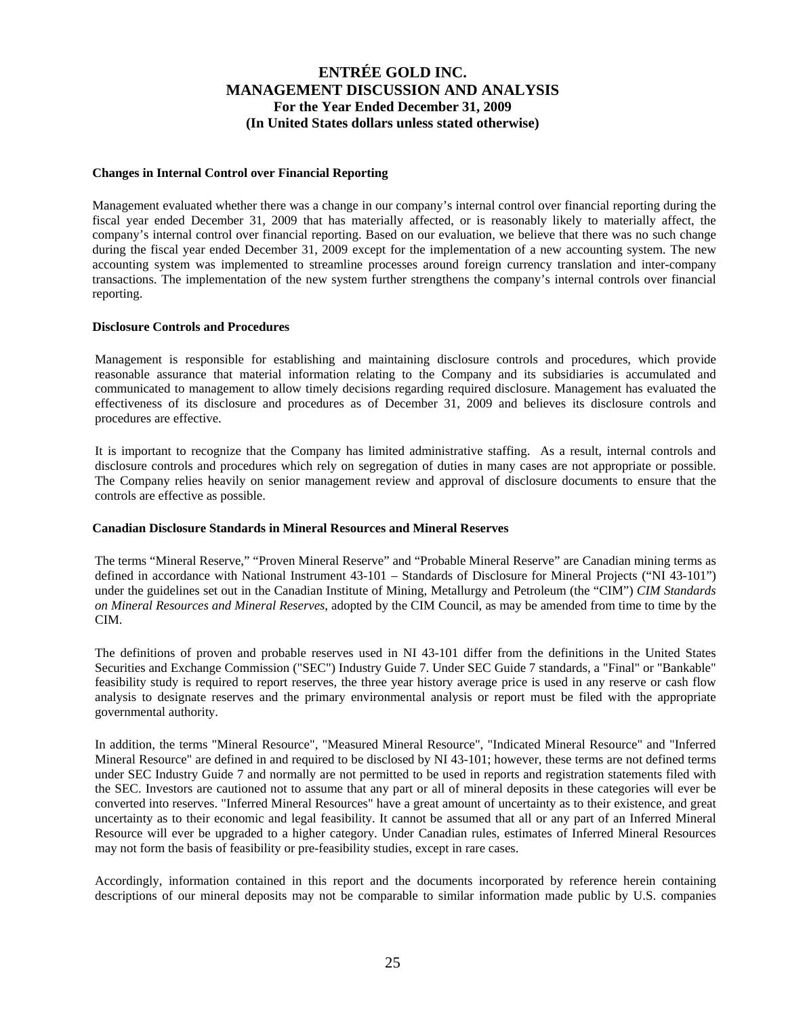### **Changes in Internal Control over Financial Reporting**

Management evaluated whether there was a change in our company's internal control over financial reporting during the fiscal year ended December 31, 2009 that has materially affected, or is reasonably likely to materially affect, the company's internal control over financial reporting. Based on our evaluation, we believe that there was no such change during the fiscal year ended December 31, 2009 except for the implementation of a new accounting system. The new accounting system was implemented to streamline processes around foreign currency translation and inter-company transactions. The implementation of the new system further strengthens the company's internal controls over financial reporting.

#### **Disclosure Controls and Procedures**

Management is responsible for establishing and maintaining disclosure controls and procedures, which provide reasonable assurance that material information relating to the Company and its subsidiaries is accumulated and communicated to management to allow timely decisions regarding required disclosure. Management has evaluated the effectiveness of its disclosure and procedures as of December 31, 2009 and believes its disclosure controls and procedures are effective.

It is important to recognize that the Company has limited administrative staffing. As a result, internal controls and disclosure controls and procedures which rely on segregation of duties in many cases are not appropriate or possible. The Company relies heavily on senior management review and approval of disclosure documents to ensure that the controls are effective as possible.

#### **Canadian Disclosure Standards in Mineral Resources and Mineral Reserves**

The terms "Mineral Reserve," "Proven Mineral Reserve" and "Probable Mineral Reserve" are Canadian mining terms as defined in accordance with National Instrument 43-101 – Standards of Disclosure for Mineral Projects ("NI 43-101") under the guidelines set out in the Canadian Institute of Mining, Metallurgy and Petroleum (the "CIM") *CIM Standards on Mineral Resources and Mineral Reserves*, adopted by the CIM Council, as may be amended from time to time by the CIM.

The definitions of proven and probable reserves used in NI 43-101 differ from the definitions in the United States Securities and Exchange Commission ("SEC") Industry Guide 7. Under SEC Guide 7 standards, a "Final" or "Bankable" feasibility study is required to report reserves, the three year history average price is used in any reserve or cash flow analysis to designate reserves and the primary environmental analysis or report must be filed with the appropriate governmental authority.

In addition, the terms "Mineral Resource", "Measured Mineral Resource", "Indicated Mineral Resource" and "Inferred Mineral Resource" are defined in and required to be disclosed by NI 43-101; however, these terms are not defined terms under SEC Industry Guide 7 and normally are not permitted to be used in reports and registration statements filed with the SEC. Investors are cautioned not to assume that any part or all of mineral deposits in these categories will ever be converted into reserves. "Inferred Mineral Resources" have a great amount of uncertainty as to their existence, and great uncertainty as to their economic and legal feasibility. It cannot be assumed that all or any part of an Inferred Mineral Resource will ever be upgraded to a higher category. Under Canadian rules, estimates of Inferred Mineral Resources may not form the basis of feasibility or pre-feasibility studies, except in rare cases.

Accordingly, information contained in this report and the documents incorporated by reference herein containing descriptions of our mineral deposits may not be comparable to similar information made public by U.S. companies